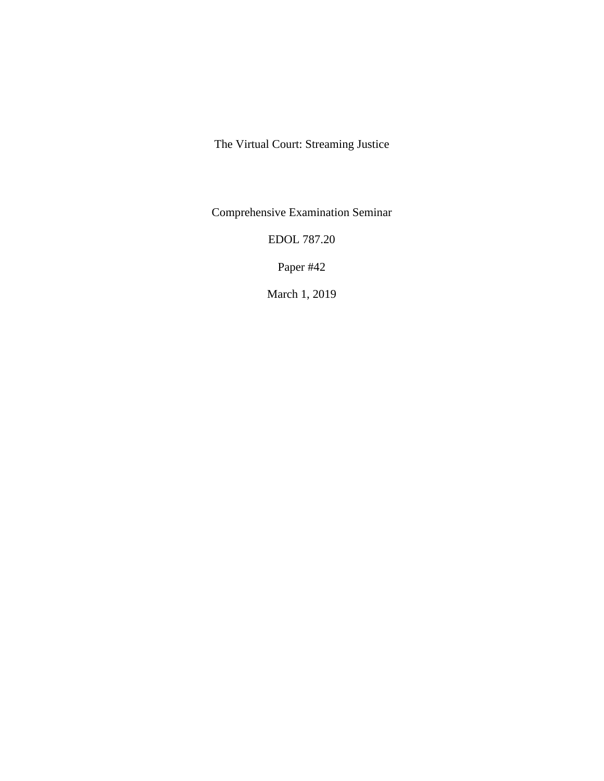The Virtual Court: Streaming Justice

Comprehensive Examination Seminar

EDOL 787.20

Paper #42

March 1, 2019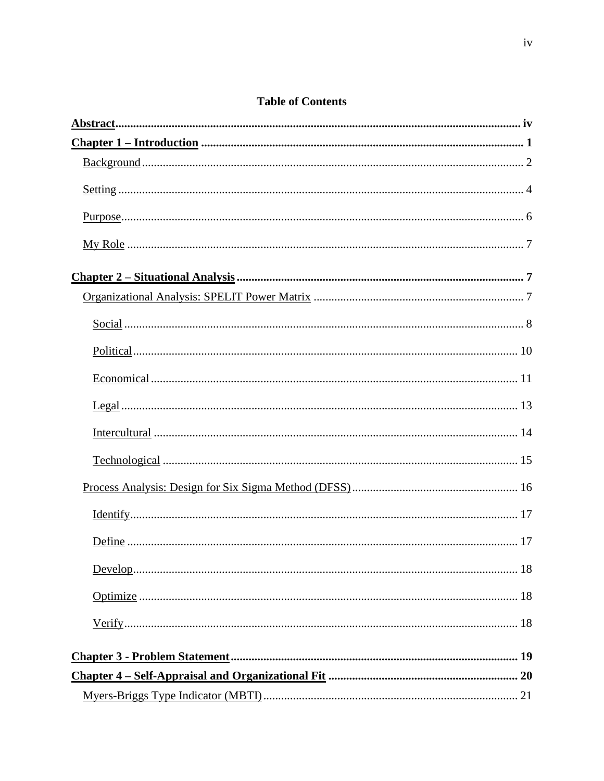|  |  | <b>Table of Contents</b> |  |
|--|--|--------------------------|--|
|--|--|--------------------------|--|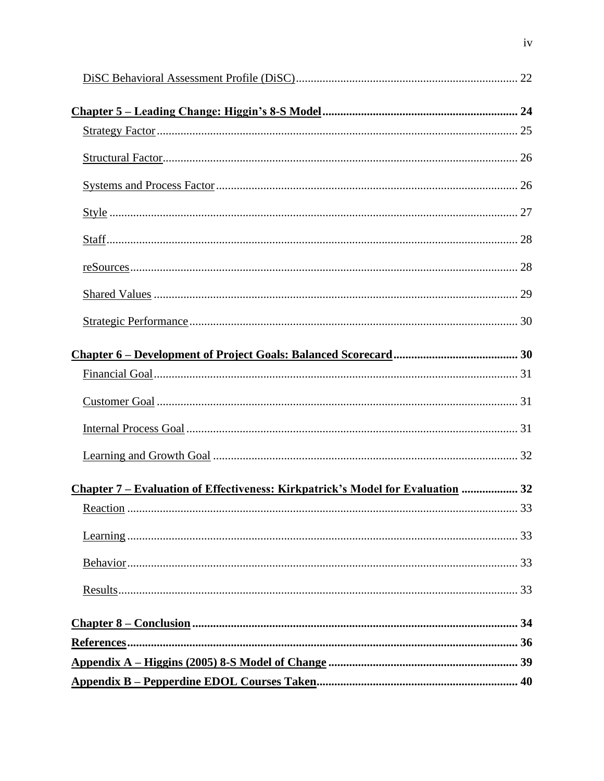| $\frac{\text{Style}}{27}$                                                             |  |
|---------------------------------------------------------------------------------------|--|
|                                                                                       |  |
|                                                                                       |  |
|                                                                                       |  |
|                                                                                       |  |
|                                                                                       |  |
|                                                                                       |  |
|                                                                                       |  |
|                                                                                       |  |
|                                                                                       |  |
|                                                                                       |  |
| <u>Chapter 7 – Evaluation of Effectiveness: Kirkpatrick's Model for Evaluation</u> 32 |  |
|                                                                                       |  |
|                                                                                       |  |
|                                                                                       |  |
|                                                                                       |  |
|                                                                                       |  |
|                                                                                       |  |
|                                                                                       |  |
|                                                                                       |  |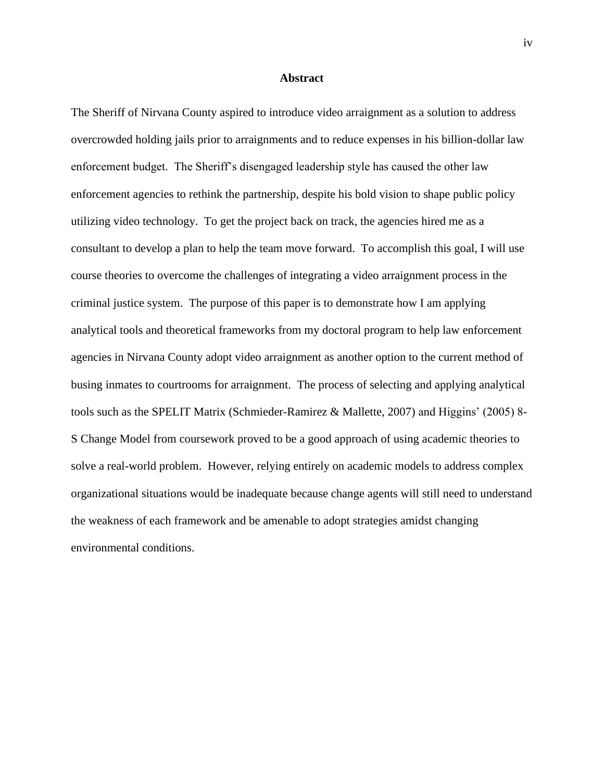## **Abstract**

<span id="page-3-0"></span>The Sheriff of Nirvana County aspired to introduce video arraignment as a solution to address overcrowded holding jails prior to arraignments and to reduce expenses in his billion-dollar law enforcement budget. The Sheriff's disengaged leadership style has caused the other law enforcement agencies to rethink the partnership, despite his bold vision to shape public policy utilizing video technology. To get the project back on track, the agencies hired me as a consultant to develop a plan to help the team move forward. To accomplish this goal, I will use course theories to overcome the challenges of integrating a video arraignment process in the criminal justice system. The purpose of this paper is to demonstrate how I am applying analytical tools and theoretical frameworks from my doctoral program to help law enforcement agencies in Nirvana County adopt video arraignment as another option to the current method of busing inmates to courtrooms for arraignment. The process of selecting and applying analytical tools such as the SPELIT Matrix (Schmieder-Ramirez & Mallette, 2007) and Higgins' (2005) 8- S Change Model from coursework proved to be a good approach of using academic theories to solve a real-world problem. However, relying entirely on academic models to address complex organizational situations would be inadequate because change agents will still need to understand the weakness of each framework and be amenable to adopt strategies amidst changing environmental conditions.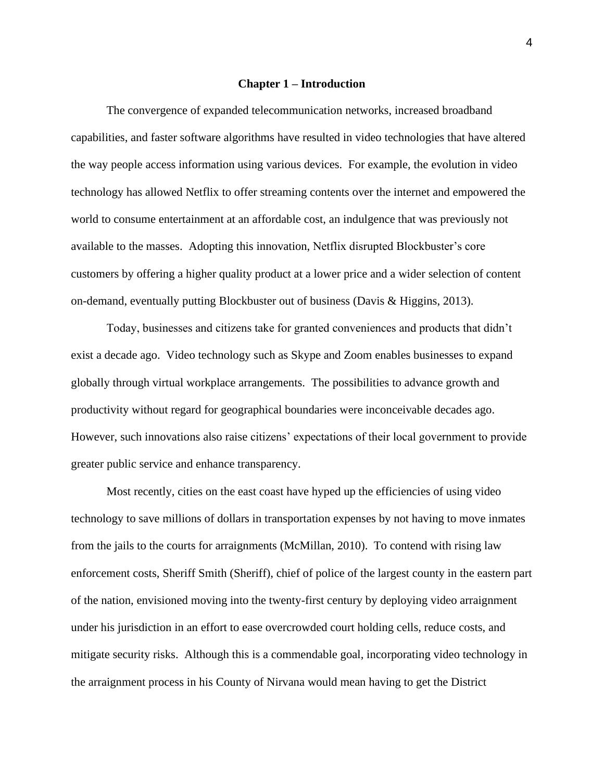#### **Chapter 1 – Introduction**

<span id="page-4-0"></span>The convergence of expanded telecommunication networks, increased broadband capabilities, and faster software algorithms have resulted in video technologies that have altered the way people access information using various devices. For example, the evolution in video technology has allowed Netflix to offer streaming contents over the internet and empowered the world to consume entertainment at an affordable cost, an indulgence that was previously not available to the masses. Adopting this innovation, Netflix disrupted Blockbuster's core customers by offering a higher quality product at a lower price and a wider selection of content on-demand, eventually putting Blockbuster out of business (Davis & Higgins, 2013).

Today, businesses and citizens take for granted conveniences and products that didn't exist a decade ago. Video technology such as Skype and Zoom enables businesses to expand globally through virtual workplace arrangements. The possibilities to advance growth and productivity without regard for geographical boundaries were inconceivable decades ago. However, such innovations also raise citizens' expectations of their local government to provide greater public service and enhance transparency.

Most recently, cities on the east coast have hyped up the efficiencies of using video technology to save millions of dollars in transportation expenses by not having to move inmates from the jails to the courts for arraignments (McMillan, 2010). To contend with rising law enforcement costs, Sheriff Smith (Sheriff), chief of police of the largest county in the eastern part of the nation, envisioned moving into the twenty-first century by deploying video arraignment under his jurisdiction in an effort to ease overcrowded court holding cells, reduce costs, and mitigate security risks. Although this is a commendable goal, incorporating video technology in the arraignment process in his County of Nirvana would mean having to get the District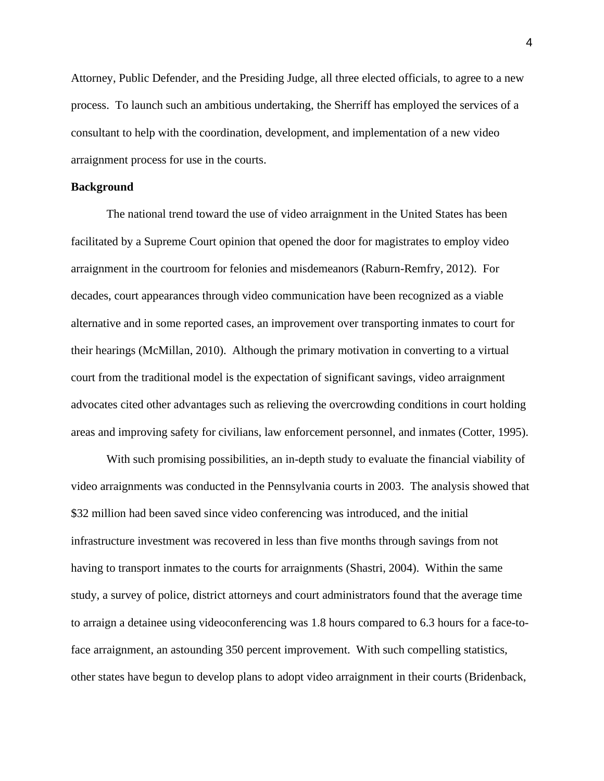Attorney, Public Defender, and the Presiding Judge, all three elected officials, to agree to a new process. To launch such an ambitious undertaking, the Sherriff has employed the services of a consultant to help with the coordination, development, and implementation of a new video arraignment process for use in the courts.

## <span id="page-5-0"></span>**Background**

The national trend toward the use of video arraignment in the United States has been facilitated by a Supreme Court opinion that opened the door for magistrates to employ video arraignment in the courtroom for felonies and misdemeanors (Raburn-Remfry, 2012). For decades, court appearances through video communication have been recognized as a viable alternative and in some reported cases, an improvement over transporting inmates to court for their hearings (McMillan, 2010). Although the primary motivation in converting to a virtual court from the traditional model is the expectation of significant savings, video arraignment advocates cited other advantages such as relieving the overcrowding conditions in court holding areas and improving safety for civilians, law enforcement personnel, and inmates (Cotter, 1995).

With such promising possibilities, an in-depth study to evaluate the financial viability of video arraignments was conducted in the Pennsylvania courts in 2003. The analysis showed that \$32 million had been saved since video conferencing was introduced, and the initial infrastructure investment was recovered in less than five months through savings from not having to transport inmates to the courts for arraignments (Shastri, 2004). Within the same study, a survey of police, district attorneys and court administrators found that the average time to arraign a detainee using videoconferencing was 1.8 hours compared to 6.3 hours for a face-toface arraignment, an astounding 350 percent improvement. With such compelling statistics, other states have begun to develop plans to adopt video arraignment in their courts (Bridenback,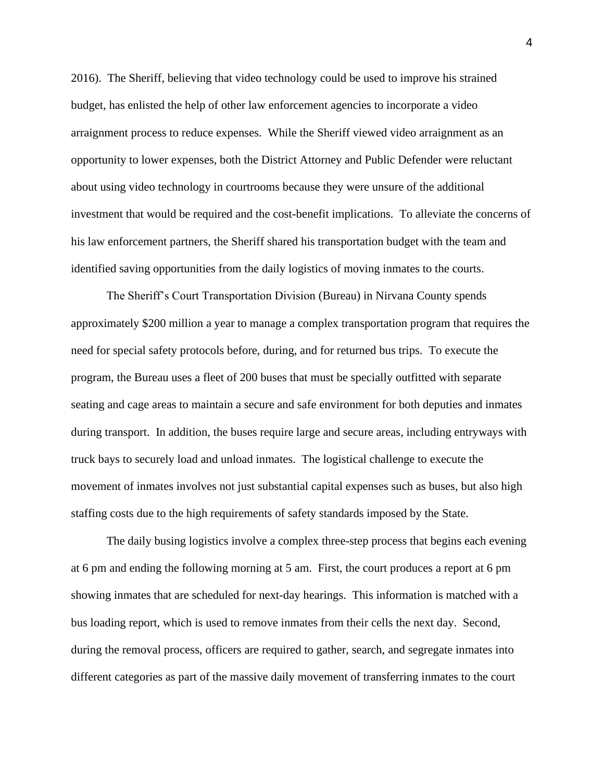2016). The Sheriff, believing that video technology could be used to improve his strained budget, has enlisted the help of other law enforcement agencies to incorporate a video arraignment process to reduce expenses. While the Sheriff viewed video arraignment as an opportunity to lower expenses, both the District Attorney and Public Defender were reluctant about using video technology in courtrooms because they were unsure of the additional investment that would be required and the cost-benefit implications. To alleviate the concerns of his law enforcement partners, the Sheriff shared his transportation budget with the team and identified saving opportunities from the daily logistics of moving inmates to the courts.

The Sheriff's Court Transportation Division (Bureau) in Nirvana County spends approximately \$200 million a year to manage a complex transportation program that requires the need for special safety protocols before, during, and for returned bus trips. To execute the program, the Bureau uses a fleet of 200 buses that must be specially outfitted with separate seating and cage areas to maintain a secure and safe environment for both deputies and inmates during transport. In addition, the buses require large and secure areas, including entryways with truck bays to securely load and unload inmates. The logistical challenge to execute the movement of inmates involves not just substantial capital expenses such as buses, but also high staffing costs due to the high requirements of safety standards imposed by the State.

The daily busing logistics involve a complex three-step process that begins each evening at 6 pm and ending the following morning at 5 am. First, the court produces a report at 6 pm showing inmates that are scheduled for next-day hearings. This information is matched with a bus loading report, which is used to remove inmates from their cells the next day. Second, during the removal process, officers are required to gather, search, and segregate inmates into different categories as part of the massive daily movement of transferring inmates to the court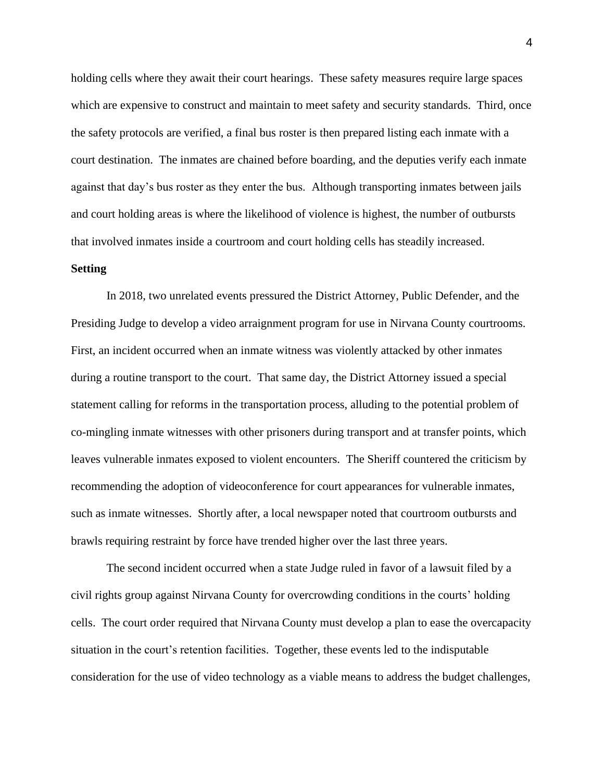holding cells where they await their court hearings. These safety measures require large spaces which are expensive to construct and maintain to meet safety and security standards. Third, once the safety protocols are verified, a final bus roster is then prepared listing each inmate with a court destination. The inmates are chained before boarding, and the deputies verify each inmate against that day's bus roster as they enter the bus. Although transporting inmates between jails and court holding areas is where the likelihood of violence is highest, the number of outbursts that involved inmates inside a courtroom and court holding cells has steadily increased.

## <span id="page-7-0"></span>**Setting**

In 2018, two unrelated events pressured the District Attorney, Public Defender, and the Presiding Judge to develop a video arraignment program for use in Nirvana County courtrooms. First, an incident occurred when an inmate witness was violently attacked by other inmates during a routine transport to the court. That same day, the District Attorney issued a special statement calling for reforms in the transportation process, alluding to the potential problem of co-mingling inmate witnesses with other prisoners during transport and at transfer points, which leaves vulnerable inmates exposed to violent encounters. The Sheriff countered the criticism by recommending the adoption of videoconference for court appearances for vulnerable inmates, such as inmate witnesses. Shortly after, a local newspaper noted that courtroom outbursts and brawls requiring restraint by force have trended higher over the last three years.

The second incident occurred when a state Judge ruled in favor of a lawsuit filed by a civil rights group against Nirvana County for overcrowding conditions in the courts' holding cells. The court order required that Nirvana County must develop a plan to ease the overcapacity situation in the court's retention facilities. Together, these events led to the indisputable consideration for the use of video technology as a viable means to address the budget challenges,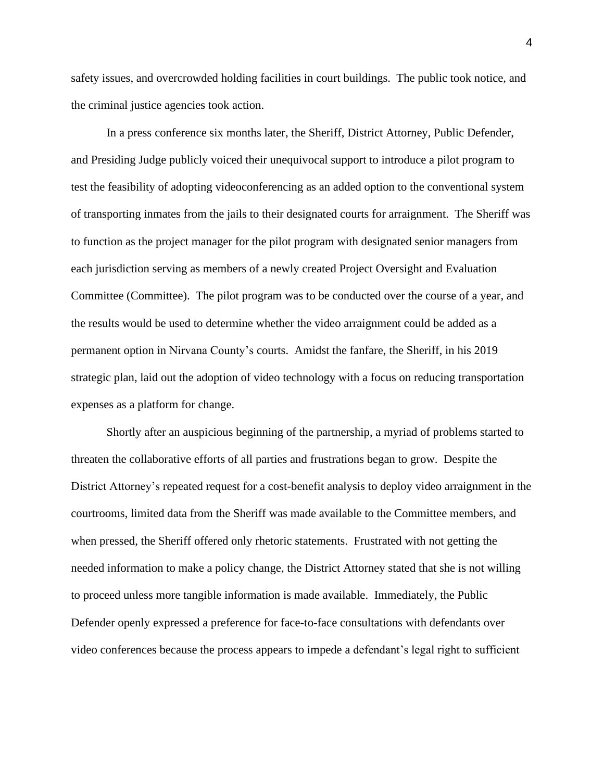safety issues, and overcrowded holding facilities in court buildings. The public took notice, and the criminal justice agencies took action.

In a press conference six months later, the Sheriff, District Attorney, Public Defender, and Presiding Judge publicly voiced their unequivocal support to introduce a pilot program to test the feasibility of adopting videoconferencing as an added option to the conventional system of transporting inmates from the jails to their designated courts for arraignment. The Sheriff was to function as the project manager for the pilot program with designated senior managers from each jurisdiction serving as members of a newly created Project Oversight and Evaluation Committee (Committee). The pilot program was to be conducted over the course of a year, and the results would be used to determine whether the video arraignment could be added as a permanent option in Nirvana County's courts. Amidst the fanfare, the Sheriff, in his 2019 strategic plan, laid out the adoption of video technology with a focus on reducing transportation expenses as a platform for change.

Shortly after an auspicious beginning of the partnership, a myriad of problems started to threaten the collaborative efforts of all parties and frustrations began to grow. Despite the District Attorney's repeated request for a cost-benefit analysis to deploy video arraignment in the courtrooms, limited data from the Sheriff was made available to the Committee members, and when pressed, the Sheriff offered only rhetoric statements. Frustrated with not getting the needed information to make a policy change, the District Attorney stated that she is not willing to proceed unless more tangible information is made available. Immediately, the Public Defender openly expressed a preference for face-to-face consultations with defendants over video conferences because the process appears to impede a defendant's legal right to sufficient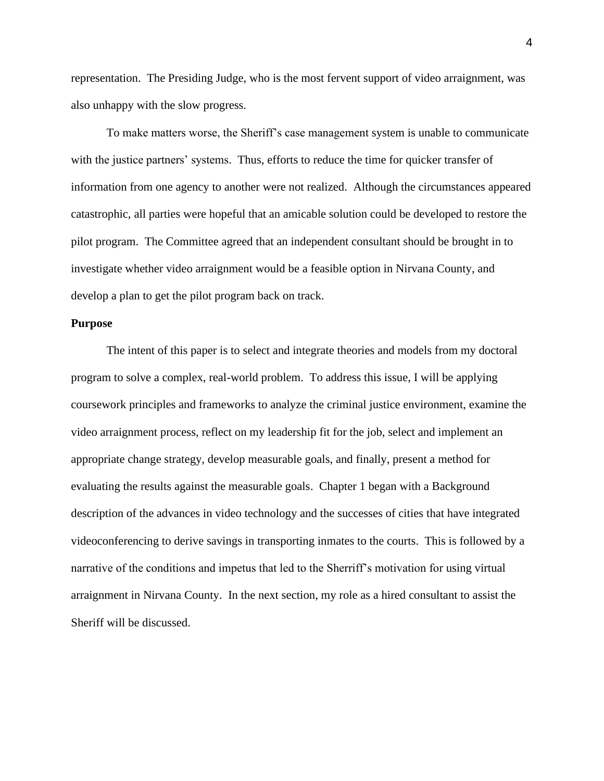representation. The Presiding Judge, who is the most fervent support of video arraignment, was also unhappy with the slow progress.

To make matters worse, the Sheriff's case management system is unable to communicate with the justice partners' systems. Thus, efforts to reduce the time for quicker transfer of information from one agency to another were not realized. Although the circumstances appeared catastrophic, all parties were hopeful that an amicable solution could be developed to restore the pilot program. The Committee agreed that an independent consultant should be brought in to investigate whether video arraignment would be a feasible option in Nirvana County, and develop a plan to get the pilot program back on track.

#### <span id="page-9-0"></span>**Purpose**

The intent of this paper is to select and integrate theories and models from my doctoral program to solve a complex, real-world problem. To address this issue, I will be applying coursework principles and frameworks to analyze the criminal justice environment, examine the video arraignment process, reflect on my leadership fit for the job, select and implement an appropriate change strategy, develop measurable goals, and finally, present a method for evaluating the results against the measurable goals. Chapter 1 began with a Background description of the advances in video technology and the successes of cities that have integrated videoconferencing to derive savings in transporting inmates to the courts. This is followed by a narrative of the conditions and impetus that led to the Sherriff's motivation for using virtual arraignment in Nirvana County. In the next section, my role as a hired consultant to assist the Sheriff will be discussed.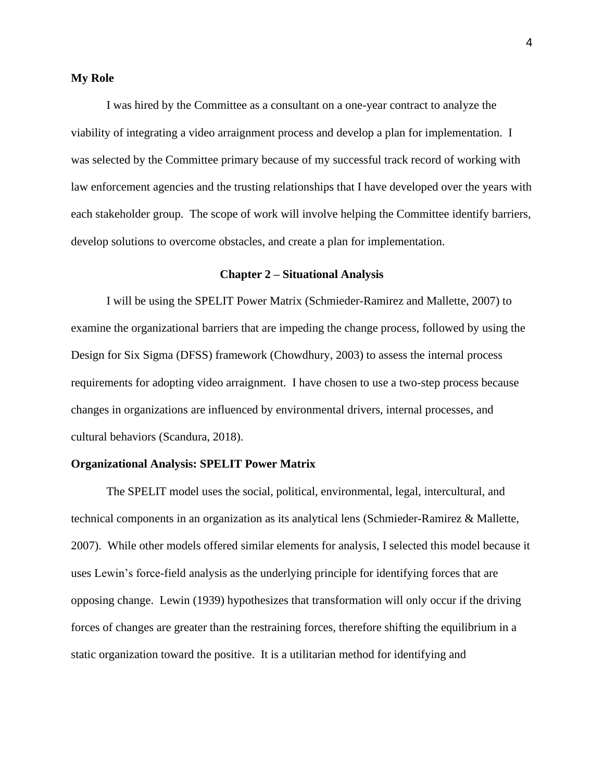## <span id="page-10-0"></span>**My Role**

I was hired by the Committee as a consultant on a one-year contract to analyze the viability of integrating a video arraignment process and develop a plan for implementation. I was selected by the Committee primary because of my successful track record of working with law enforcement agencies and the trusting relationships that I have developed over the years with each stakeholder group. The scope of work will involve helping the Committee identify barriers, develop solutions to overcome obstacles, and create a plan for implementation.

## **Chapter 2 – Situational Analysis**

<span id="page-10-1"></span>I will be using the SPELIT Power Matrix (Schmieder-Ramirez and Mallette, 2007) to examine the organizational barriers that are impeding the change process, followed by using the Design for Six Sigma (DFSS) framework (Chowdhury, 2003) to assess the internal process requirements for adopting video arraignment. I have chosen to use a two-step process because changes in organizations are influenced by environmental drivers, internal processes, and cultural behaviors (Scandura, 2018).

## <span id="page-10-2"></span>**Organizational Analysis: SPELIT Power Matrix**

The SPELIT model uses the social, political, environmental, legal, intercultural, and technical components in an organization as its analytical lens (Schmieder-Ramirez & Mallette, 2007). While other models offered similar elements for analysis, I selected this model because it uses Lewin's force-field analysis as the underlying principle for identifying forces that are opposing change. Lewin (1939) hypothesizes that transformation will only occur if the driving forces of changes are greater than the restraining forces, therefore shifting the equilibrium in a static organization toward the positive. It is a utilitarian method for identifying and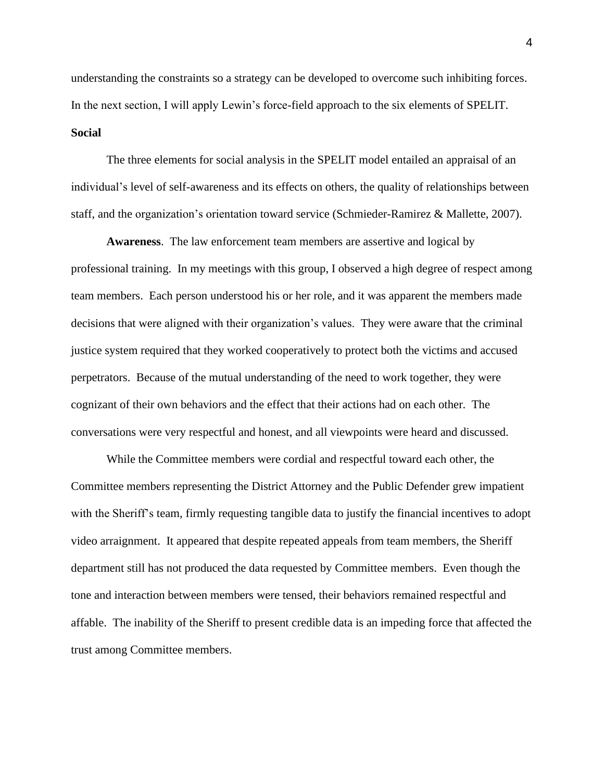understanding the constraints so a strategy can be developed to overcome such inhibiting forces. In the next section, I will apply Lewin's force-field approach to the six elements of SPELIT. **Social**

<span id="page-11-0"></span>The three elements for social analysis in the SPELIT model entailed an appraisal of an individual's level of self-awareness and its effects on others, the quality of relationships between staff, and the organization's orientation toward service (Schmieder-Ramirez & Mallette, 2007).

**Awareness**. The law enforcement team members are assertive and logical by professional training. In my meetings with this group, I observed a high degree of respect among team members. Each person understood his or her role, and it was apparent the members made decisions that were aligned with their organization's values. They were aware that the criminal justice system required that they worked cooperatively to protect both the victims and accused perpetrators. Because of the mutual understanding of the need to work together, they were cognizant of their own behaviors and the effect that their actions had on each other. The conversations were very respectful and honest, and all viewpoints were heard and discussed.

While the Committee members were cordial and respectful toward each other, the Committee members representing the District Attorney and the Public Defender grew impatient with the Sheriff's team, firmly requesting tangible data to justify the financial incentives to adopt video arraignment. It appeared that despite repeated appeals from team members, the Sheriff department still has not produced the data requested by Committee members. Even though the tone and interaction between members were tensed, their behaviors remained respectful and affable. The inability of the Sheriff to present credible data is an impeding force that affected the trust among Committee members.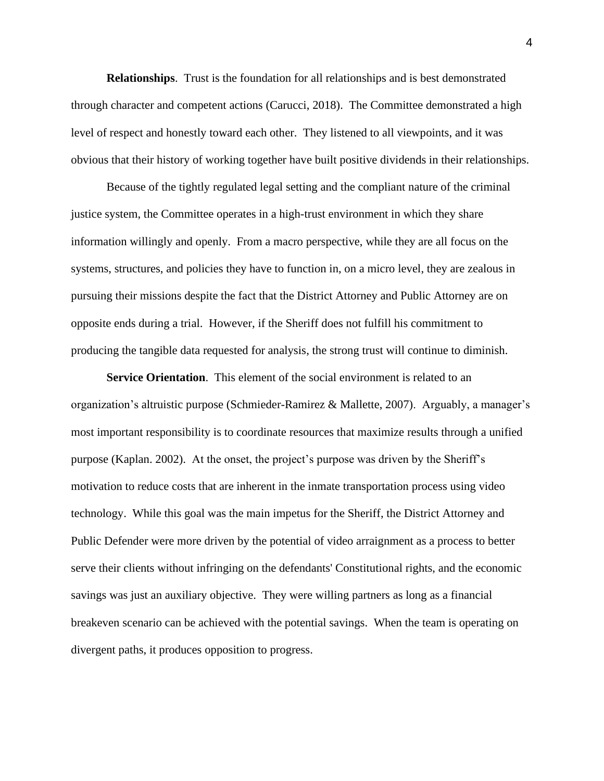**Relationships**. Trust is the foundation for all relationships and is best demonstrated through character and competent actions (Carucci, 2018). The Committee demonstrated a high level of respect and honestly toward each other. They listened to all viewpoints, and it was obvious that their history of working together have built positive dividends in their relationships.

Because of the tightly regulated legal setting and the compliant nature of the criminal justice system, the Committee operates in a high-trust environment in which they share information willingly and openly. From a macro perspective, while they are all focus on the systems, structures, and policies they have to function in, on a micro level, they are zealous in pursuing their missions despite the fact that the District Attorney and Public Attorney are on opposite ends during a trial. However, if the Sheriff does not fulfill his commitment to producing the tangible data requested for analysis, the strong trust will continue to diminish.

**Service Orientation**. This element of the social environment is related to an organization's altruistic purpose (Schmieder-Ramirez & Mallette, 2007). Arguably, a manager's most important responsibility is to coordinate resources that maximize results through a unified purpose (Kaplan. 2002). At the onset, the project's purpose was driven by the Sheriff's motivation to reduce costs that are inherent in the inmate transportation process using video technology. While this goal was the main impetus for the Sheriff, the District Attorney and Public Defender were more driven by the potential of video arraignment as a process to better serve their clients without infringing on the defendants' Constitutional rights, and the economic savings was just an auxiliary objective. They were willing partners as long as a financial breakeven scenario can be achieved with the potential savings. When the team is operating on divergent paths, it produces opposition to progress.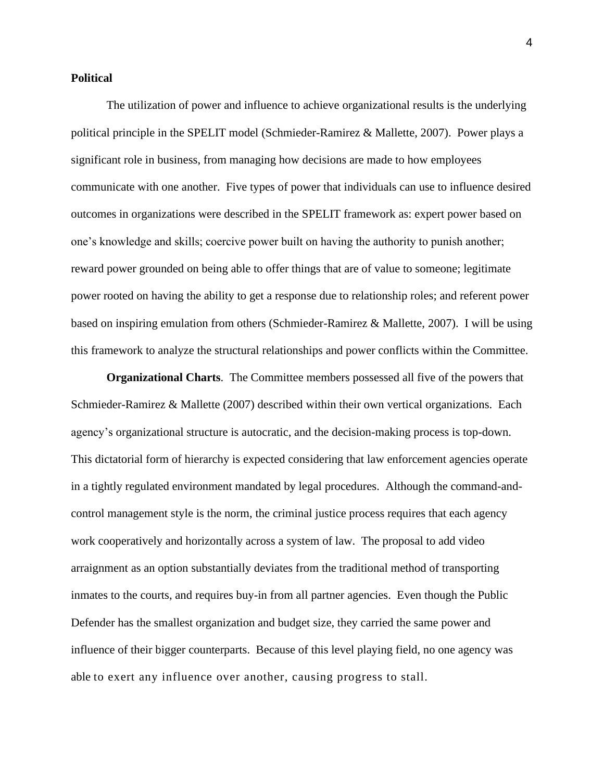## <span id="page-13-0"></span>**Political**

The utilization of power and influence to achieve organizational results is the underlying political principle in the SPELIT model (Schmieder-Ramirez & Mallette, 2007). Power plays a significant role in business, from managing how decisions are made to how employees communicate with one another. Five types of power that individuals can use to influence desired outcomes in organizations were described in the SPELIT framework as: expert power based on one's knowledge and skills; coercive power built on having the authority to punish another; reward power grounded on being able to offer things that are of value to someone; legitimate power rooted on having the ability to get a response due to relationship roles; and referent power based on inspiring emulation from others (Schmieder-Ramirez & Mallette, 2007). I will be using this framework to analyze the structural relationships and power conflicts within the Committee.

**Organizational Charts**. The Committee members possessed all five of the powers that Schmieder-Ramirez & Mallette (2007) described within their own vertical organizations. Each agency's organizational structure is autocratic, and the decision-making process is top-down. This dictatorial form of hierarchy is expected considering that law enforcement agencies operate in a tightly regulated environment mandated by legal procedures. Although the command-andcontrol management style is the norm, the criminal justice process requires that each agency work cooperatively and horizontally across a system of law. The proposal to add video arraignment as an option substantially deviates from the traditional method of transporting inmates to the courts, and requires buy-in from all partner agencies. Even though the Public Defender has the smallest organization and budget size, they carried the same power and influence of their bigger counterparts. Because of this level playing field, no one agency was able to exert any influence over another, causing progress to stall.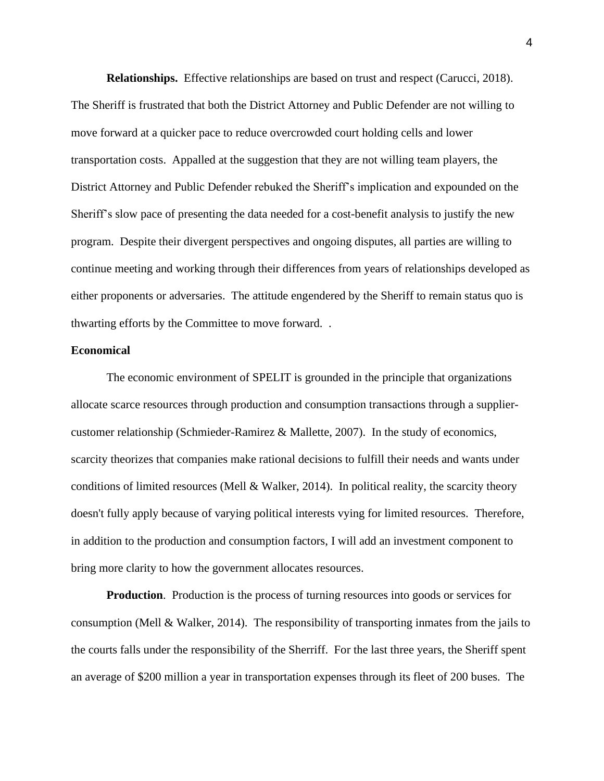**Relationships.** Effective relationships are based on trust and respect (Carucci, 2018). The Sheriff is frustrated that both the District Attorney and Public Defender are not willing to move forward at a quicker pace to reduce overcrowded court holding cells and lower transportation costs. Appalled at the suggestion that they are not willing team players, the District Attorney and Public Defender rebuked the Sheriff's implication and expounded on the Sheriff's slow pace of presenting the data needed for a cost-benefit analysis to justify the new program. Despite their divergent perspectives and ongoing disputes, all parties are willing to continue meeting and working through their differences from years of relationships developed as either proponents or adversaries. The attitude engendered by the Sheriff to remain status quo is thwarting efforts by the Committee to move forward. .

## <span id="page-14-0"></span>**Economical**

The economic environment of SPELIT is grounded in the principle that organizations allocate scarce resources through production and consumption transactions through a suppliercustomer relationship (Schmieder-Ramirez  $\&$  Mallette, 2007). In the study of economics, scarcity theorizes that companies make rational decisions to fulfill their needs and wants under conditions of limited resources (Mell & Walker, 2014). In political reality, the scarcity theory doesn't fully apply because of varying political interests vying for limited resources. Therefore, in addition to the production and consumption factors, I will add an investment component to bring more clarity to how the government allocates resources.

**Production**. Production is the process of turning resources into goods or services for consumption (Mell & Walker, 2014). The responsibility of transporting inmates from the jails to the courts falls under the responsibility of the Sherriff. For the last three years, the Sheriff spent an average of \$200 million a year in transportation expenses through its fleet of 200 buses. The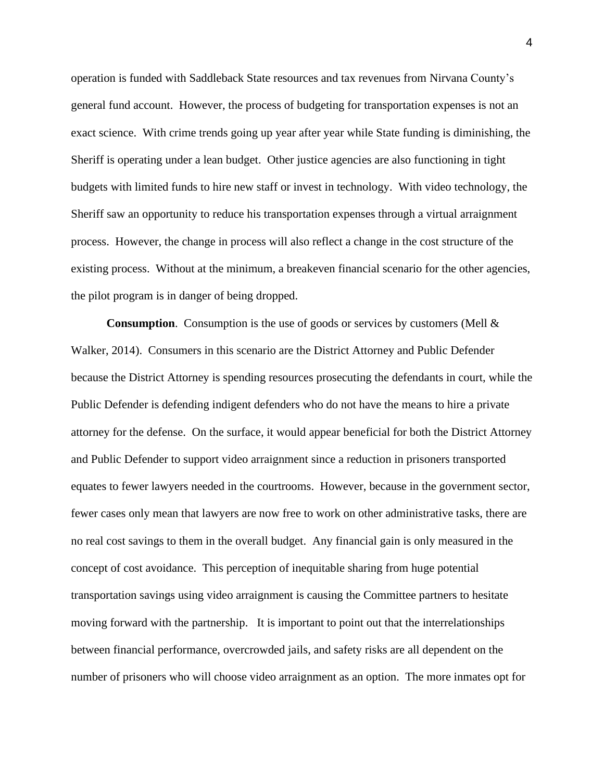operation is funded with Saddleback State resources and tax revenues from Nirvana County's general fund account. However, the process of budgeting for transportation expenses is not an exact science. With crime trends going up year after year while State funding is diminishing, the Sheriff is operating under a lean budget. Other justice agencies are also functioning in tight budgets with limited funds to hire new staff or invest in technology. With video technology, the Sheriff saw an opportunity to reduce his transportation expenses through a virtual arraignment process. However, the change in process will also reflect a change in the cost structure of the existing process. Without at the minimum, a breakeven financial scenario for the other agencies, the pilot program is in danger of being dropped.

**Consumption**. Consumption is the use of goods or services by customers (Mell & Walker, 2014). Consumers in this scenario are the District Attorney and Public Defender because the District Attorney is spending resources prosecuting the defendants in court, while the Public Defender is defending indigent defenders who do not have the means to hire a private attorney for the defense. On the surface, it would appear beneficial for both the District Attorney and Public Defender to support video arraignment since a reduction in prisoners transported equates to fewer lawyers needed in the courtrooms. However, because in the government sector, fewer cases only mean that lawyers are now free to work on other administrative tasks, there are no real cost savings to them in the overall budget. Any financial gain is only measured in the concept of cost avoidance. This perception of inequitable sharing from huge potential transportation savings using video arraignment is causing the Committee partners to hesitate moving forward with the partnership. It is important to point out that the interrelationships between financial performance, overcrowded jails, and safety risks are all dependent on the number of prisoners who will choose video arraignment as an option. The more inmates opt for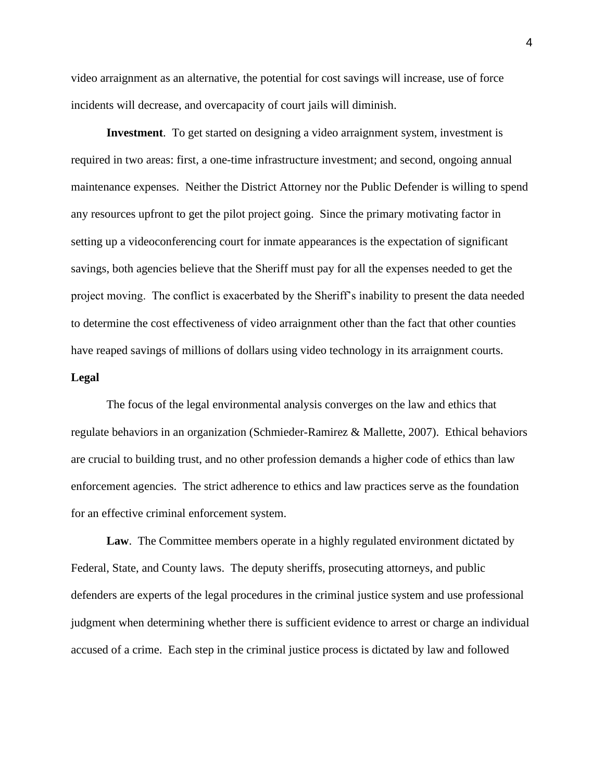video arraignment as an alternative, the potential for cost savings will increase, use of force incidents will decrease, and overcapacity of court jails will diminish.

**Investment**. To get started on designing a video arraignment system, investment is required in two areas: first, a one-time infrastructure investment; and second, ongoing annual maintenance expenses. Neither the District Attorney nor the Public Defender is willing to spend any resources upfront to get the pilot project going. Since the primary motivating factor in setting up a videoconferencing court for inmate appearances is the expectation of significant savings, both agencies believe that the Sheriff must pay for all the expenses needed to get the project moving. The conflict is exacerbated by the Sheriff's inability to present the data needed to determine the cost effectiveness of video arraignment other than the fact that other counties have reaped savings of millions of dollars using video technology in its arraignment courts.

#### <span id="page-16-0"></span>**Legal**

The focus of the legal environmental analysis converges on the law and ethics that regulate behaviors in an organization (Schmieder-Ramirez & Mallette, 2007). Ethical behaviors are crucial to building trust, and no other profession demands a higher code of ethics than law enforcement agencies. The strict adherence to ethics and law practices serve as the foundation for an effective criminal enforcement system.

**Law**. The Committee members operate in a highly regulated environment dictated by Federal, State, and County laws. The deputy sheriffs, prosecuting attorneys, and public defenders are experts of the legal procedures in the criminal justice system and use professional judgment when determining whether there is sufficient evidence to arrest or charge an individual accused of a crime. Each step in the criminal justice process is dictated by law and followed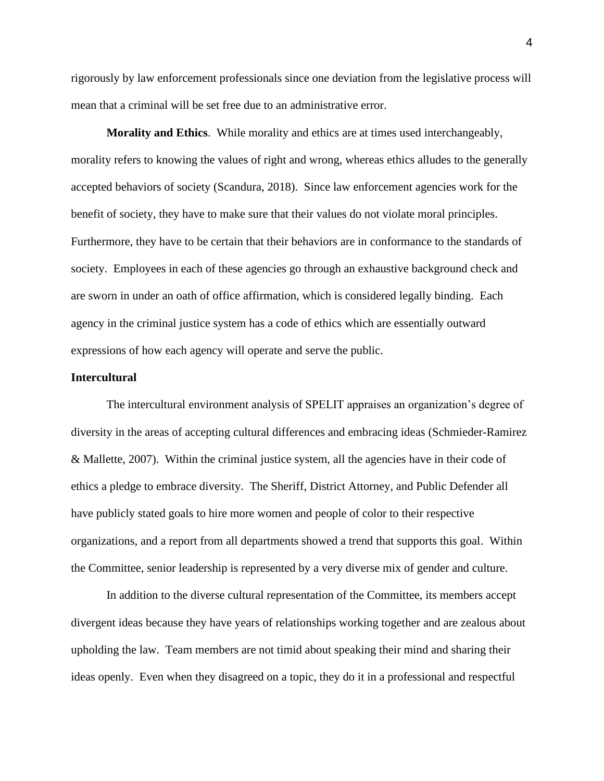rigorously by law enforcement professionals since one deviation from the legislative process will mean that a criminal will be set free due to an administrative error.

**Morality and Ethics**. While morality and ethics are at times used interchangeably, morality refers to knowing the values of right and wrong, whereas ethics alludes to the generally accepted behaviors of society (Scandura, 2018). Since law enforcement agencies work for the benefit of society, they have to make sure that their values do not violate moral principles. Furthermore, they have to be certain that their behaviors are in conformance to the standards of society. Employees in each of these agencies go through an exhaustive background check and are sworn in under an oath of office affirmation, which is considered legally binding. Each agency in the criminal justice system has a code of ethics which are essentially outward expressions of how each agency will operate and serve the public.

## <span id="page-17-0"></span>**Intercultural**

The intercultural environment analysis of SPELIT appraises an organization's degree of diversity in the areas of accepting cultural differences and embracing ideas (Schmieder-Ramirez & Mallette, 2007). Within the criminal justice system, all the agencies have in their code of ethics a pledge to embrace diversity. The Sheriff, District Attorney, and Public Defender all have publicly stated goals to hire more women and people of color to their respective organizations, and a report from all departments showed a trend that supports this goal. Within the Committee, senior leadership is represented by a very diverse mix of gender and culture.

In addition to the diverse cultural representation of the Committee, its members accept divergent ideas because they have years of relationships working together and are zealous about upholding the law. Team members are not timid about speaking their mind and sharing their ideas openly. Even when they disagreed on a topic, they do it in a professional and respectful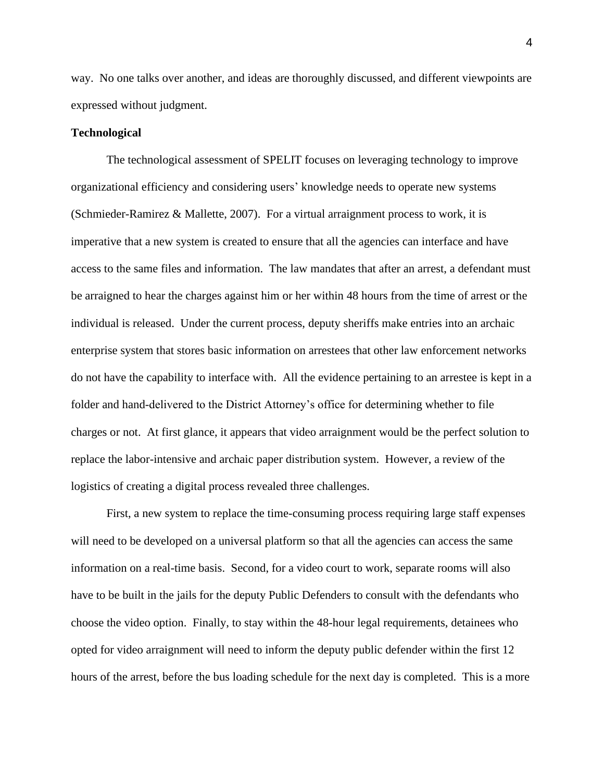way. No one talks over another, and ideas are thoroughly discussed, and different viewpoints are expressed without judgment.

#### <span id="page-18-0"></span>**Technological**

The technological assessment of SPELIT focuses on leveraging technology to improve organizational efficiency and considering users' knowledge needs to operate new systems (Schmieder-Ramirez & Mallette, 2007). For a virtual arraignment process to work, it is imperative that a new system is created to ensure that all the agencies can interface and have access to the same files and information. The law mandates that after an arrest, a defendant must be arraigned to hear the charges against him or her within 48 hours from the time of arrest or the individual is released. Under the current process, deputy sheriffs make entries into an archaic enterprise system that stores basic information on arrestees that other law enforcement networks do not have the capability to interface with. All the evidence pertaining to an arrestee is kept in a folder and hand-delivered to the District Attorney's office for determining whether to file charges or not. At first glance, it appears that video arraignment would be the perfect solution to replace the labor-intensive and archaic paper distribution system. However, a review of the logistics of creating a digital process revealed three challenges.

First, a new system to replace the time-consuming process requiring large staff expenses will need to be developed on a universal platform so that all the agencies can access the same information on a real-time basis. Second, for a video court to work, separate rooms will also have to be built in the jails for the deputy Public Defenders to consult with the defendants who choose the video option. Finally, to stay within the 48-hour legal requirements, detainees who opted for video arraignment will need to inform the deputy public defender within the first 12 hours of the arrest, before the bus loading schedule for the next day is completed. This is a more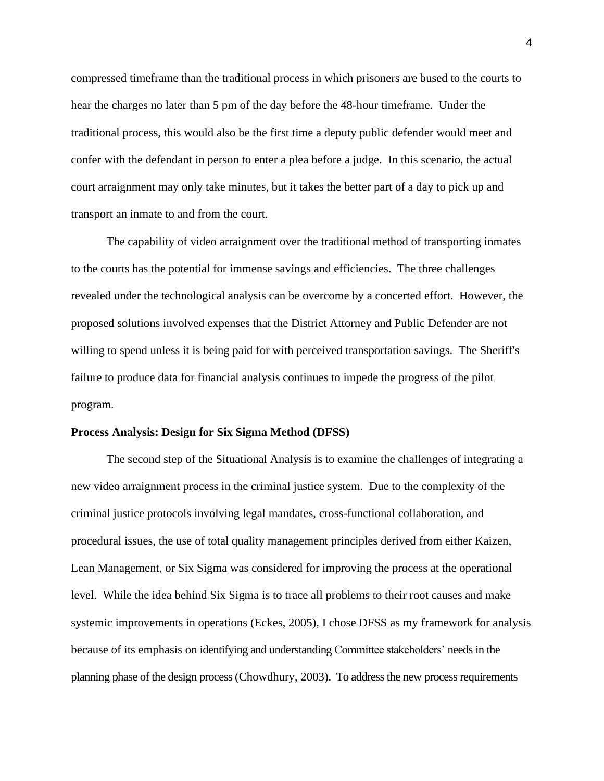compressed timeframe than the traditional process in which prisoners are bused to the courts to hear the charges no later than 5 pm of the day before the 48-hour timeframe. Under the traditional process, this would also be the first time a deputy public defender would meet and confer with the defendant in person to enter a plea before a judge. In this scenario, the actual court arraignment may only take minutes, but it takes the better part of a day to pick up and transport an inmate to and from the court.

The capability of video arraignment over the traditional method of transporting inmates to the courts has the potential for immense savings and efficiencies. The three challenges revealed under the technological analysis can be overcome by a concerted effort. However, the proposed solutions involved expenses that the District Attorney and Public Defender are not willing to spend unless it is being paid for with perceived transportation savings. The Sheriff's failure to produce data for financial analysis continues to impede the progress of the pilot program.

### <span id="page-19-0"></span>**Process Analysis: Design for Six Sigma Method (DFSS)**

The second step of the Situational Analysis is to examine the challenges of integrating a new video arraignment process in the criminal justice system. Due to the complexity of the criminal justice protocols involving legal mandates, cross-functional collaboration, and procedural issues, the use of total quality management principles derived from either Kaizen, Lean Management, or Six Sigma was considered for improving the process at the operational level. While the idea behind Six Sigma is to trace all problems to their root causes and make systemic improvements in operations (Eckes, 2005), I chose DFSS as my framework for analysis because of its emphasis on identifying and understanding Committee stakeholders' needs in the planning phase of the design process (Chowdhury, 2003). To address the new process requirements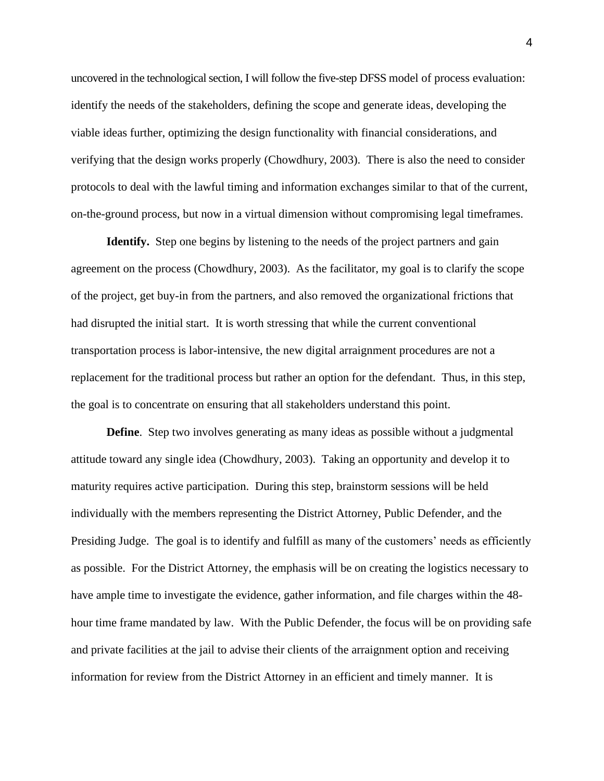uncovered in the technological section, I will follow the five-step DFSS model of process evaluation: identify the needs of the stakeholders, defining the scope and generate ideas, developing the viable ideas further, optimizing the design functionality with financial considerations, and verifying that the design works properly (Chowdhury, 2003). There is also the need to consider protocols to deal with the lawful timing and information exchanges similar to that of the current, on-the-ground process, but now in a virtual dimension without compromising legal timeframes.

<span id="page-20-0"></span>**Identify.** Step one begins by listening to the needs of the project partners and gain agreement on the process (Chowdhury, 2003). As the facilitator, my goal is to clarify the scope of the project, get buy-in from the partners, and also removed the organizational frictions that had disrupted the initial start. It is worth stressing that while the current conventional transportation process is labor-intensive, the new digital arraignment procedures are not a replacement for the traditional process but rather an option for the defendant. Thus, in this step, the goal is to concentrate on ensuring that all stakeholders understand this point.

<span id="page-20-1"></span>**Define**. Step two involves generating as many ideas as possible without a judgmental attitude toward any single idea (Chowdhury, 2003). Taking an opportunity and develop it to maturity requires active participation. During this step, brainstorm sessions will be held individually with the members representing the District Attorney, Public Defender, and the Presiding Judge. The goal is to identify and fulfill as many of the customers' needs as efficiently as possible. For the District Attorney, the emphasis will be on creating the logistics necessary to have ample time to investigate the evidence, gather information, and file charges within the 48 hour time frame mandated by law. With the Public Defender, the focus will be on providing safe and private facilities at the jail to advise their clients of the arraignment option and receiving information for review from the District Attorney in an efficient and timely manner. It is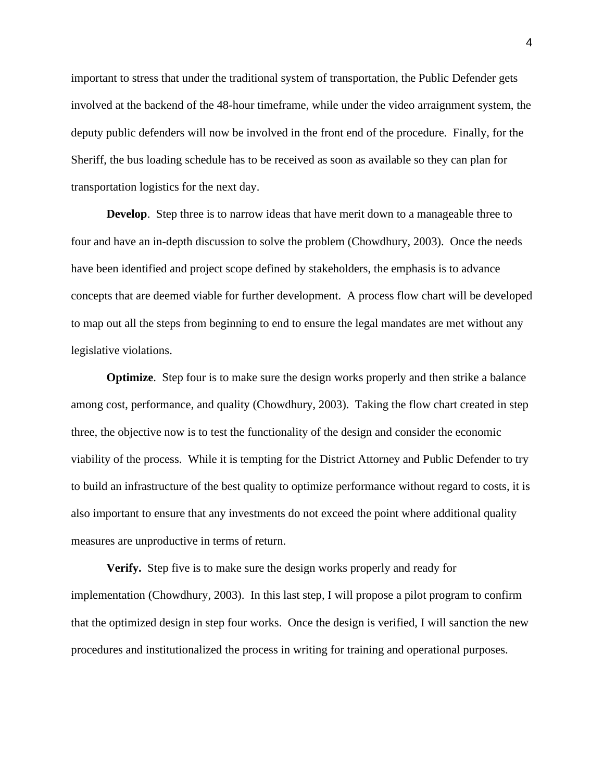important to stress that under the traditional system of transportation, the Public Defender gets involved at the backend of the 48-hour timeframe, while under the video arraignment system, the deputy public defenders will now be involved in the front end of the procedure. Finally, for the Sheriff, the bus loading schedule has to be received as soon as available so they can plan for transportation logistics for the next day.

<span id="page-21-0"></span>**Develop**. Step three is to narrow ideas that have merit down to a manageable three to four and have an in-depth discussion to solve the problem (Chowdhury, 2003). Once the needs have been identified and project scope defined by stakeholders, the emphasis is to advance concepts that are deemed viable for further development. A process flow chart will be developed to map out all the steps from beginning to end to ensure the legal mandates are met without any legislative violations.

<span id="page-21-1"></span>**Optimize.** Step four is to make sure the design works properly and then strike a balance among cost, performance, and quality (Chowdhury, 2003). Taking the flow chart created in step three, the objective now is to test the functionality of the design and consider the economic viability of the process. While it is tempting for the District Attorney and Public Defender to try to build an infrastructure of the best quality to optimize performance without regard to costs, it is also important to ensure that any investments do not exceed the point where additional quality measures are unproductive in terms of return.

<span id="page-21-2"></span>**Verify.** Step five is to make sure the design works properly and ready for implementation (Chowdhury, 2003). In this last step, I will propose a pilot program to confirm that the optimized design in step four works. Once the design is verified, I will sanction the new procedures and institutionalized the process in writing for training and operational purposes.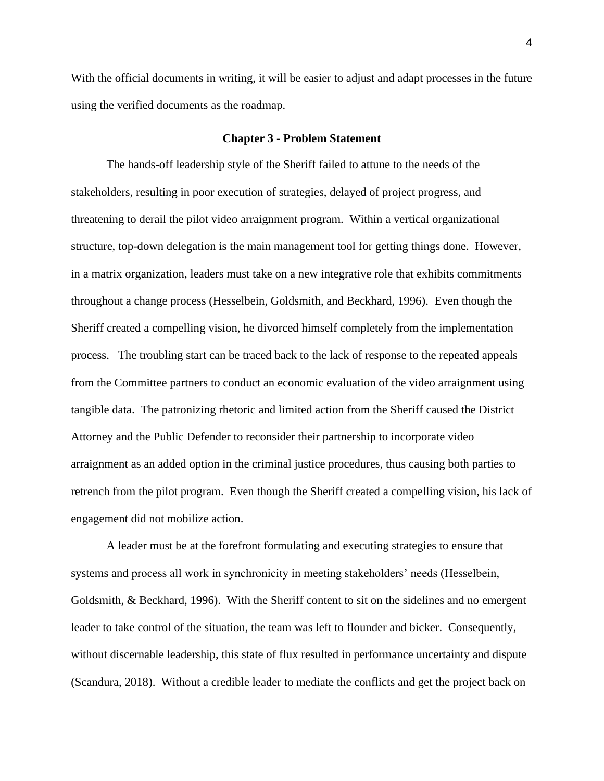With the official documents in writing, it will be easier to adjust and adapt processes in the future using the verified documents as the roadmap.

#### **Chapter 3 - Problem Statement**

<span id="page-22-0"></span>The hands-off leadership style of the Sheriff failed to attune to the needs of the stakeholders, resulting in poor execution of strategies, delayed of project progress, and threatening to derail the pilot video arraignment program. Within a vertical organizational structure, top-down delegation is the main management tool for getting things done. However, in a matrix organization, leaders must take on a new integrative role that exhibits commitments throughout a change process (Hesselbein, Goldsmith, and Beckhard, 1996). Even though the Sheriff created a compelling vision, he divorced himself completely from the implementation process. The troubling start can be traced back to the lack of response to the repeated appeals from the Committee partners to conduct an economic evaluation of the video arraignment using tangible data. The patronizing rhetoric and limited action from the Sheriff caused the District Attorney and the Public Defender to reconsider their partnership to incorporate video arraignment as an added option in the criminal justice procedures, thus causing both parties to retrench from the pilot program. Even though the Sheriff created a compelling vision, his lack of engagement did not mobilize action.

A leader must be at the forefront formulating and executing strategies to ensure that systems and process all work in synchronicity in meeting stakeholders' needs (Hesselbein, Goldsmith, & Beckhard, 1996). With the Sheriff content to sit on the sidelines and no emergent leader to take control of the situation, the team was left to flounder and bicker. Consequently, without discernable leadership, this state of flux resulted in performance uncertainty and dispute (Scandura, 2018). Without a credible leader to mediate the conflicts and get the project back on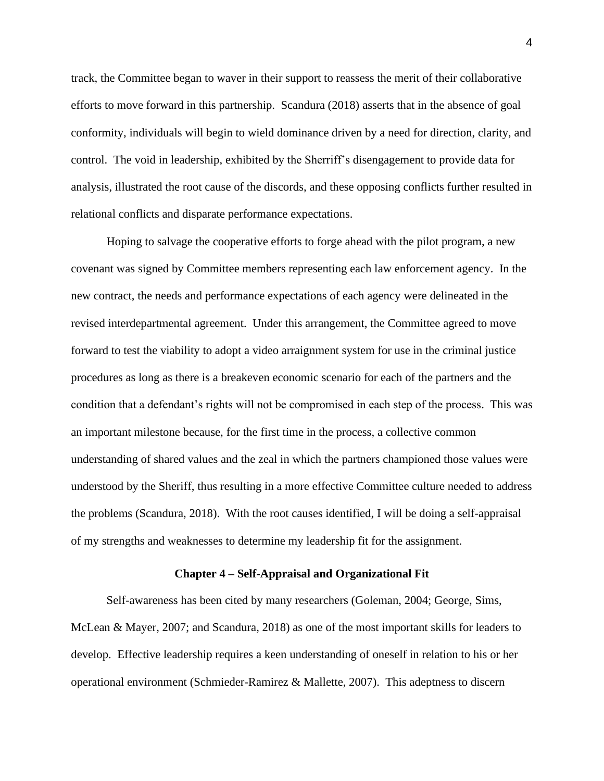track, the Committee began to waver in their support to reassess the merit of their collaborative efforts to move forward in this partnership. Scandura (2018) asserts that in the absence of goal conformity, individuals will begin to wield dominance driven by a need for direction, clarity, and control. The void in leadership, exhibited by the Sherriff's disengagement to provide data for analysis, illustrated the root cause of the discords, and these opposing conflicts further resulted in relational conflicts and disparate performance expectations.

Hoping to salvage the cooperative efforts to forge ahead with the pilot program, a new covenant was signed by Committee members representing each law enforcement agency. In the new contract, the needs and performance expectations of each agency were delineated in the revised interdepartmental agreement. Under this arrangement, the Committee agreed to move forward to test the viability to adopt a video arraignment system for use in the criminal justice procedures as long as there is a breakeven economic scenario for each of the partners and the condition that a defendant's rights will not be compromised in each step of the process. This was an important milestone because, for the first time in the process, a collective common understanding of shared values and the zeal in which the partners championed those values were understood by the Sheriff, thus resulting in a more effective Committee culture needed to address the problems (Scandura, 2018). With the root causes identified, I will be doing a self-appraisal of my strengths and weaknesses to determine my leadership fit for the assignment.

## **Chapter 4 – Self-Appraisal and Organizational Fit**

<span id="page-23-0"></span>Self-awareness has been cited by many researchers (Goleman, 2004; George, Sims, McLean & Mayer, 2007; and Scandura, 2018) as one of the most important skills for leaders to develop. Effective leadership requires a keen understanding of oneself in relation to his or her operational environment (Schmieder-Ramirez & Mallette, 2007). This adeptness to discern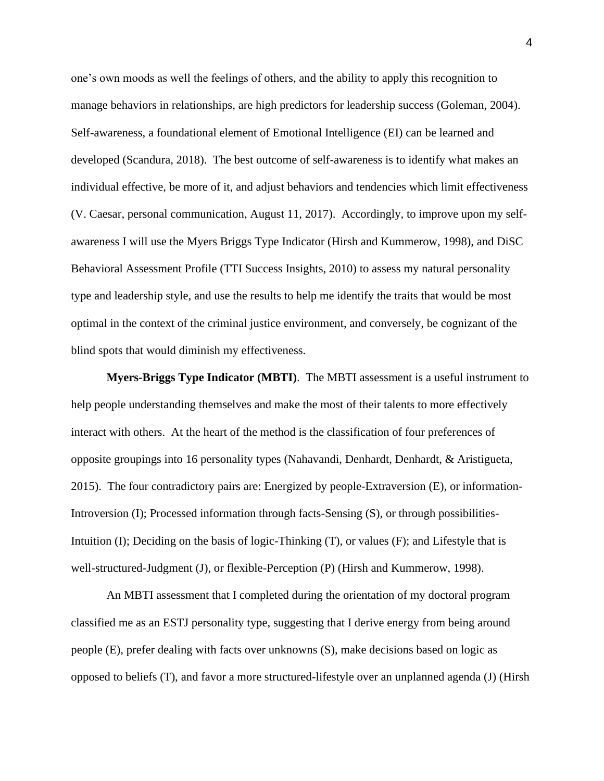one's own moods as well the feelings of others, and the ability to apply this recognition to manage behaviors in relationships, are high predictors for leadership success (Goleman, 2004). Self-awareness, a foundational element of Emotional Intelligence (EI) can be learned and developed (Scandura, 2018). The best outcome of self-awareness is to identify what makes an individual effective, be more of it, and adjust behaviors and tendencies which limit effectiveness (V. Caesar, personal communication, August 11, 2017). Accordingly, to improve upon my selfawareness I will use the Myers Briggs Type Indicator (Hirsh and Kummerow, 1998), and DiSC Behavioral Assessment Profile (TTI Success Insights, 2010) to assess my natural personality type and leadership style, and use the results to help me identify the traits that would be most optimal in the context of the criminal justice environment, and conversely, be cognizant of the blind spots that would diminish my effectiveness.

<span id="page-24-0"></span>**Myers-Briggs Type Indicator (MBTI)**. The MBTI assessment is a useful instrument to help people understanding themselves and make the most of their talents to more effectively interact with others. At the heart of the method is the classification of four preferences of opposite groupings into 16 personality types (Nahavandi, Denhardt, Denhardt, & Aristigueta, 2015). The four contradictory pairs are: Energized by people-Extraversion (E), or information-Introversion (I); Processed information through facts-Sensing (S), or through possibilities-Intuition (I); Deciding on the basis of logic-Thinking (T), or values (F); and Lifestyle that is well-structured-Judgment (J), or flexible-Perception (P) (Hirsh and Kummerow, 1998).

An MBTI assessment that I completed during the orientation of my doctoral program classified me as an ESTJ personality type, suggesting that I derive energy from being around people (E), prefer dealing with facts over unknowns (S), make decisions based on logic as opposed to beliefs (T), and favor a more structured-lifestyle over an unplanned agenda (J) (Hirsh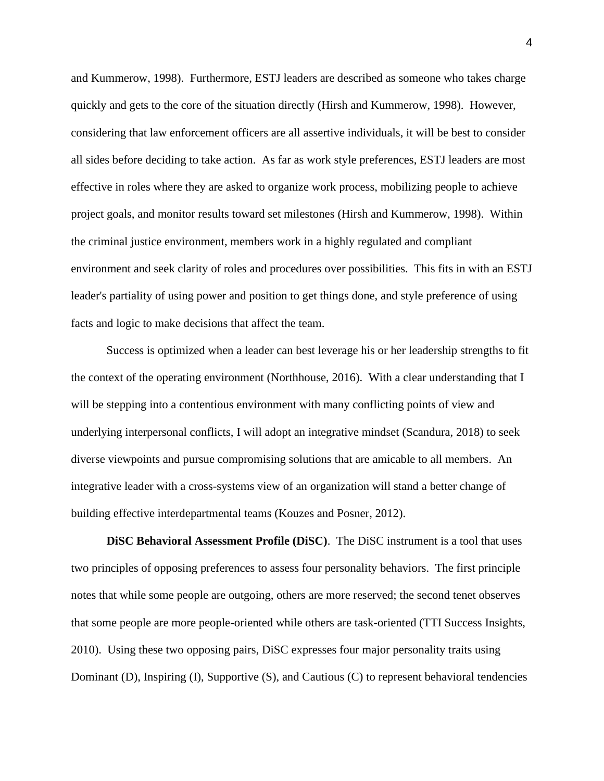and Kummerow, 1998). Furthermore, ESTJ leaders are described as someone who takes charge quickly and gets to the core of the situation directly (Hirsh and Kummerow, 1998). However, considering that law enforcement officers are all assertive individuals, it will be best to consider all sides before deciding to take action. As far as work style preferences, ESTJ leaders are most effective in roles where they are asked to organize work process, mobilizing people to achieve project goals, and monitor results toward set milestones (Hirsh and Kummerow, 1998). Within the criminal justice environment, members work in a highly regulated and compliant environment and seek clarity of roles and procedures over possibilities. This fits in with an ESTJ leader's partiality of using power and position to get things done, and style preference of using facts and logic to make decisions that affect the team.

Success is optimized when a leader can best leverage his or her leadership strengths to fit the context of the operating environment (Northhouse, 2016). With a clear understanding that I will be stepping into a contentious environment with many conflicting points of view and underlying interpersonal conflicts, I will adopt an integrative mindset (Scandura, 2018) to seek diverse viewpoints and pursue compromising solutions that are amicable to all members. An integrative leader with a cross-systems view of an organization will stand a better change of building effective interdepartmental teams (Kouzes and Posner, 2012).

<span id="page-25-0"></span>**DiSC Behavioral Assessment Profile (DiSC)**. The DiSC instrument is a tool that uses two principles of opposing preferences to assess four personality behaviors. The first principle notes that while some people are outgoing, others are more reserved; the second tenet observes that some people are more people-oriented while others are task-oriented (TTI Success Insights, 2010). Using these two opposing pairs, DiSC expresses four major personality traits using Dominant (D), Inspiring (I), Supportive (S), and Cautious (C) to represent behavioral tendencies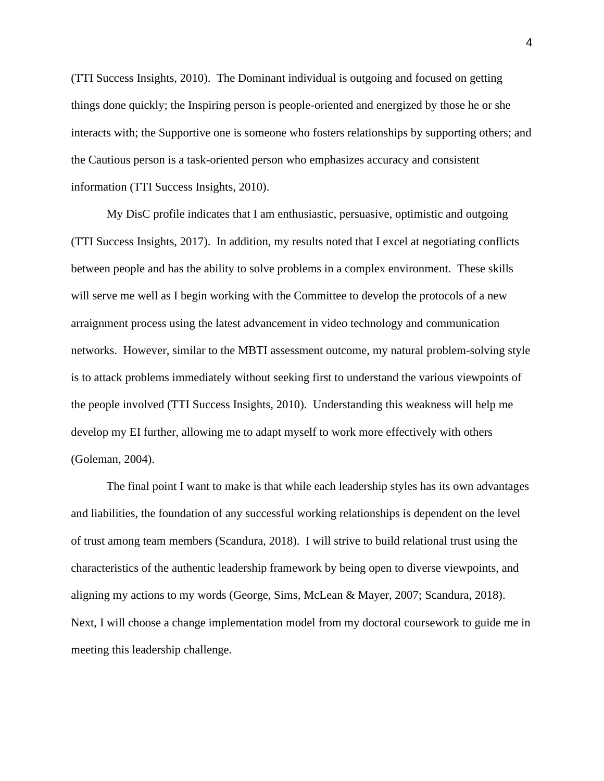(TTI Success Insights, 2010). The Dominant individual is outgoing and focused on getting things done quickly; the Inspiring person is people-oriented and energized by those he or she interacts with; the Supportive one is someone who fosters relationships by supporting others; and the Cautious person is a task-oriented person who emphasizes accuracy and consistent information (TTI Success Insights, 2010).

My DisC profile indicates that I am enthusiastic, persuasive, optimistic and outgoing (TTI Success Insights, 2017). In addition, my results noted that I excel at negotiating conflicts between people and has the ability to solve problems in a complex environment. These skills will serve me well as I begin working with the Committee to develop the protocols of a new arraignment process using the latest advancement in video technology and communication networks. However, similar to the MBTI assessment outcome, my natural problem-solving style is to attack problems immediately without seeking first to understand the various viewpoints of the people involved (TTI Success Insights, 2010). Understanding this weakness will help me develop my EI further, allowing me to adapt myself to work more effectively with others (Goleman, 2004).

The final point I want to make is that while each leadership styles has its own advantages and liabilities, the foundation of any successful working relationships is dependent on the level of trust among team members (Scandura, 2018). I will strive to build relational trust using the characteristics of the authentic leadership framework by being open to diverse viewpoints, and aligning my actions to my words (George, Sims, McLean & Mayer, 2007; Scandura, 2018). Next, I will choose a change implementation model from my doctoral coursework to guide me in meeting this leadership challenge.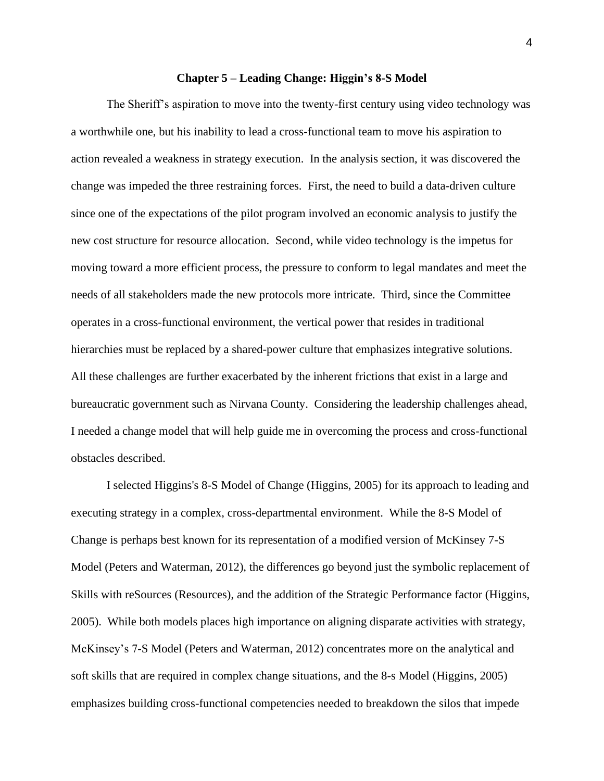## **Chapter 5 – Leading Change: Higgin's 8-S Model**

<span id="page-27-0"></span>The Sheriff's aspiration to move into the twenty-first century using video technology was a worthwhile one, but his inability to lead a cross-functional team to move his aspiration to action revealed a weakness in strategy execution. In the analysis section, it was discovered the change was impeded the three restraining forces. First, the need to build a data-driven culture since one of the expectations of the pilot program involved an economic analysis to justify the new cost structure for resource allocation. Second, while video technology is the impetus for moving toward a more efficient process, the pressure to conform to legal mandates and meet the needs of all stakeholders made the new protocols more intricate. Third, since the Committee operates in a cross-functional environment, the vertical power that resides in traditional hierarchies must be replaced by a shared-power culture that emphasizes integrative solutions. All these challenges are further exacerbated by the inherent frictions that exist in a large and bureaucratic government such as Nirvana County. Considering the leadership challenges ahead, I needed a change model that will help guide me in overcoming the process and cross-functional obstacles described.

I selected Higgins's 8-S Model of Change (Higgins, 2005) for its approach to leading and executing strategy in a complex, cross-departmental environment. While the 8-S Model of Change is perhaps best known for its representation of a modified version of McKinsey 7-S Model (Peters and Waterman, 2012), the differences go beyond just the symbolic replacement of Skills with reSources (Resources), and the addition of the Strategic Performance factor (Higgins, 2005). While both models places high importance on aligning disparate activities with strategy, McKinsey's 7-S Model (Peters and Waterman, 2012) concentrates more on the analytical and soft skills that are required in complex change situations, and the 8-s Model (Higgins, 2005) emphasizes building cross-functional competencies needed to breakdown the silos that impede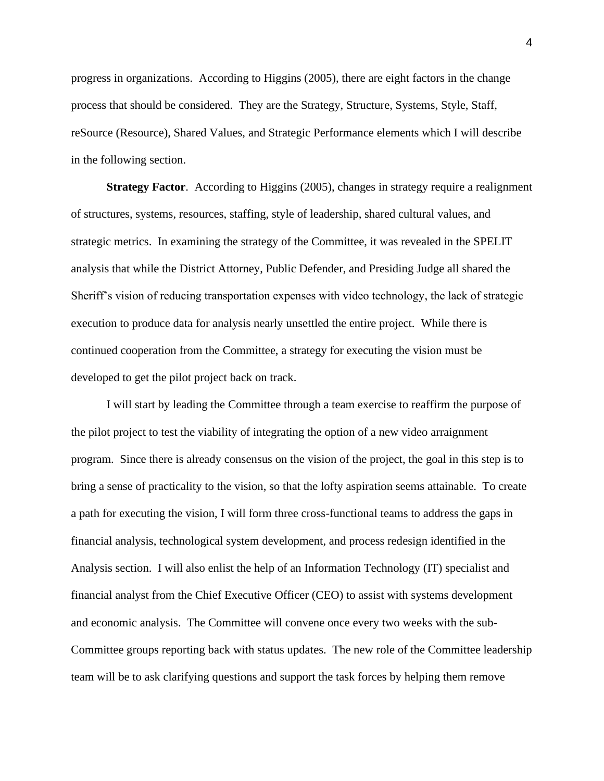progress in organizations. According to Higgins (2005), there are eight factors in the change process that should be considered. They are the Strategy, Structure, Systems, Style, Staff, reSource (Resource), Shared Values, and Strategic Performance elements which I will describe in the following section.

<span id="page-28-0"></span>**Strategy Factor**. According to Higgins (2005), changes in strategy require a realignment of structures, systems, resources, staffing, style of leadership, shared cultural values, and strategic metrics. In examining the strategy of the Committee, it was revealed in the SPELIT analysis that while the District Attorney, Public Defender, and Presiding Judge all shared the Sheriff's vision of reducing transportation expenses with video technology, the lack of strategic execution to produce data for analysis nearly unsettled the entire project. While there is continued cooperation from the Committee, a strategy for executing the vision must be developed to get the pilot project back on track.

I will start by leading the Committee through a team exercise to reaffirm the purpose of the pilot project to test the viability of integrating the option of a new video arraignment program. Since there is already consensus on the vision of the project, the goal in this step is to bring a sense of practicality to the vision, so that the lofty aspiration seems attainable. To create a path for executing the vision, I will form three cross-functional teams to address the gaps in financial analysis, technological system development, and process redesign identified in the Analysis section. I will also enlist the help of an Information Technology (IT) specialist and financial analyst from the Chief Executive Officer (CEO) to assist with systems development and economic analysis. The Committee will convene once every two weeks with the sub-Committee groups reporting back with status updates. The new role of the Committee leadership team will be to ask clarifying questions and support the task forces by helping them remove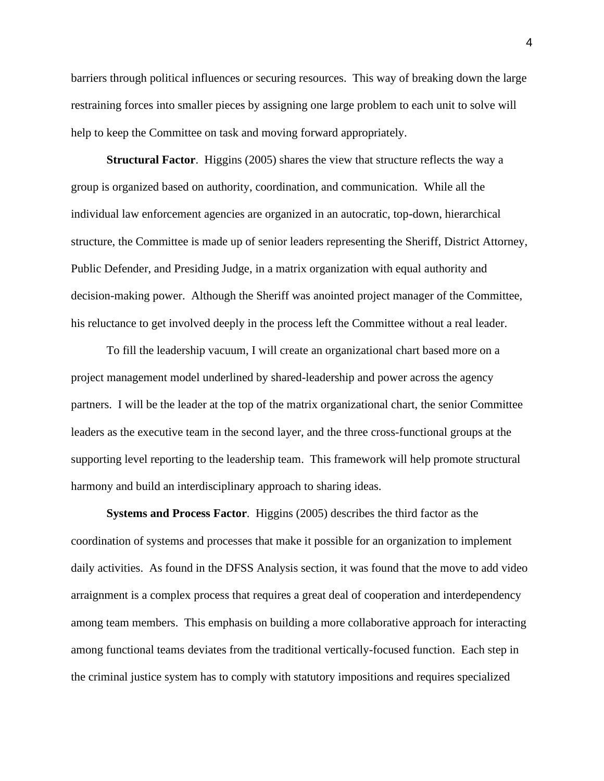barriers through political influences or securing resources. This way of breaking down the large restraining forces into smaller pieces by assigning one large problem to each unit to solve will help to keep the Committee on task and moving forward appropriately.

<span id="page-29-0"></span>**Structural Factor.** Higgins (2005) shares the view that structure reflects the way a group is organized based on authority, coordination, and communication. While all the individual law enforcement agencies are organized in an autocratic, top-down, hierarchical structure, the Committee is made up of senior leaders representing the Sheriff, District Attorney, Public Defender, and Presiding Judge, in a matrix organization with equal authority and decision-making power. Although the Sheriff was anointed project manager of the Committee, his reluctance to get involved deeply in the process left the Committee without a real leader.

To fill the leadership vacuum, I will create an organizational chart based more on a project management model underlined by shared-leadership and power across the agency partners. I will be the leader at the top of the matrix organizational chart, the senior Committee leaders as the executive team in the second layer, and the three cross-functional groups at the supporting level reporting to the leadership team. This framework will help promote structural harmony and build an interdisciplinary approach to sharing ideas.

<span id="page-29-1"></span>**Systems and Process Factor**. Higgins (2005) describes the third factor as the coordination of systems and processes that make it possible for an organization to implement daily activities. As found in the DFSS Analysis section, it was found that the move to add video arraignment is a complex process that requires a great deal of cooperation and interdependency among team members. This emphasis on building a more collaborative approach for interacting among functional teams deviates from the traditional vertically-focused function. Each step in the criminal justice system has to comply with statutory impositions and requires specialized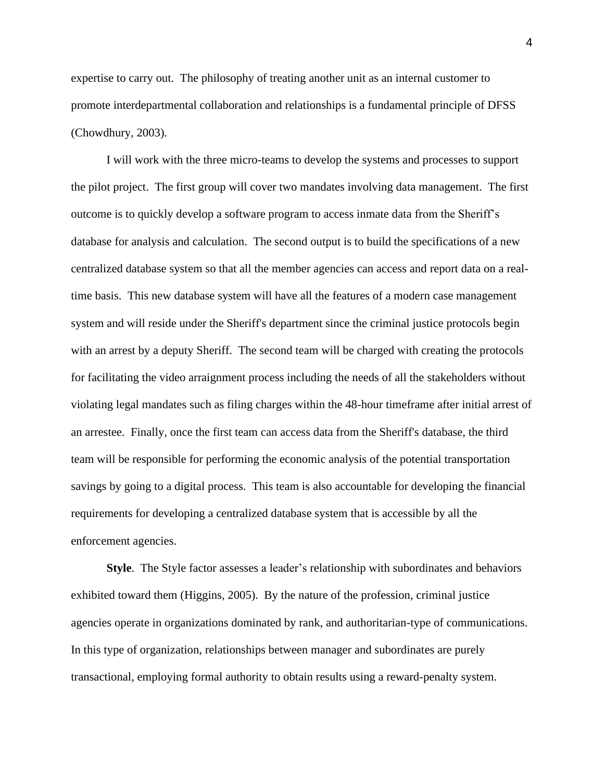expertise to carry out. The philosophy of treating another unit as an internal customer to promote interdepartmental collaboration and relationships is a fundamental principle of DFSS (Chowdhury, 2003).

I will work with the three micro-teams to develop the systems and processes to support the pilot project. The first group will cover two mandates involving data management. The first outcome is to quickly develop a software program to access inmate data from the Sheriff's database for analysis and calculation. The second output is to build the specifications of a new centralized database system so that all the member agencies can access and report data on a realtime basis. This new database system will have all the features of a modern case management system and will reside under the Sheriff's department since the criminal justice protocols begin with an arrest by a deputy Sheriff. The second team will be charged with creating the protocols for facilitating the video arraignment process including the needs of all the stakeholders without violating legal mandates such as filing charges within the 48-hour timeframe after initial arrest of an arrestee. Finally, once the first team can access data from the Sheriff's database, the third team will be responsible for performing the economic analysis of the potential transportation savings by going to a digital process. This team is also accountable for developing the financial requirements for developing a centralized database system that is accessible by all the enforcement agencies.

<span id="page-30-0"></span>**Style**. The Style factor assesses a leader's relationship with subordinates and behaviors exhibited toward them (Higgins, 2005). By the nature of the profession, criminal justice agencies operate in organizations dominated by rank, and authoritarian-type of communications. In this type of organization, relationships between manager and subordinates are purely transactional, employing formal authority to obtain results using a reward-penalty system.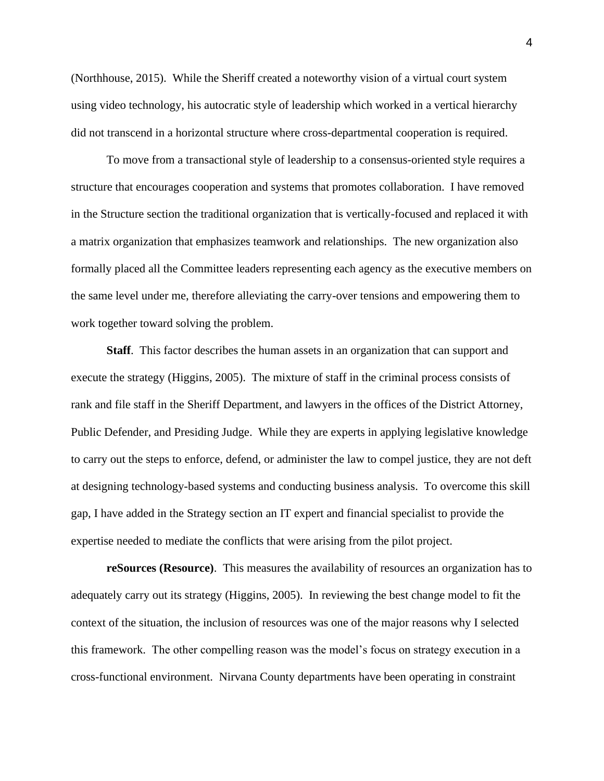(Northhouse, 2015). While the Sheriff created a noteworthy vision of a virtual court system using video technology, his autocratic style of leadership which worked in a vertical hierarchy did not transcend in a horizontal structure where cross-departmental cooperation is required.

To move from a transactional style of leadership to a consensus-oriented style requires a structure that encourages cooperation and systems that promotes collaboration. I have removed in the Structure section the traditional organization that is vertically-focused and replaced it with a matrix organization that emphasizes teamwork and relationships. The new organization also formally placed all the Committee leaders representing each agency as the executive members on the same level under me, therefore alleviating the carry-over tensions and empowering them to work together toward solving the problem.

<span id="page-31-0"></span>**Staff**. This factor describes the human assets in an organization that can support and execute the strategy (Higgins, 2005). The mixture of staff in the criminal process consists of rank and file staff in the Sheriff Department, and lawyers in the offices of the District Attorney, Public Defender, and Presiding Judge. While they are experts in applying legislative knowledge to carry out the steps to enforce, defend, or administer the law to compel justice, they are not deft at designing technology-based systems and conducting business analysis. To overcome this skill gap, I have added in the Strategy section an IT expert and financial specialist to provide the expertise needed to mediate the conflicts that were arising from the pilot project.

<span id="page-31-1"></span>**reSources (Resource)**. This measures the availability of resources an organization has to adequately carry out its strategy (Higgins, 2005). In reviewing the best change model to fit the context of the situation, the inclusion of resources was one of the major reasons why I selected this framework. The other compelling reason was the model's focus on strategy execution in a cross-functional environment. Nirvana County departments have been operating in constraint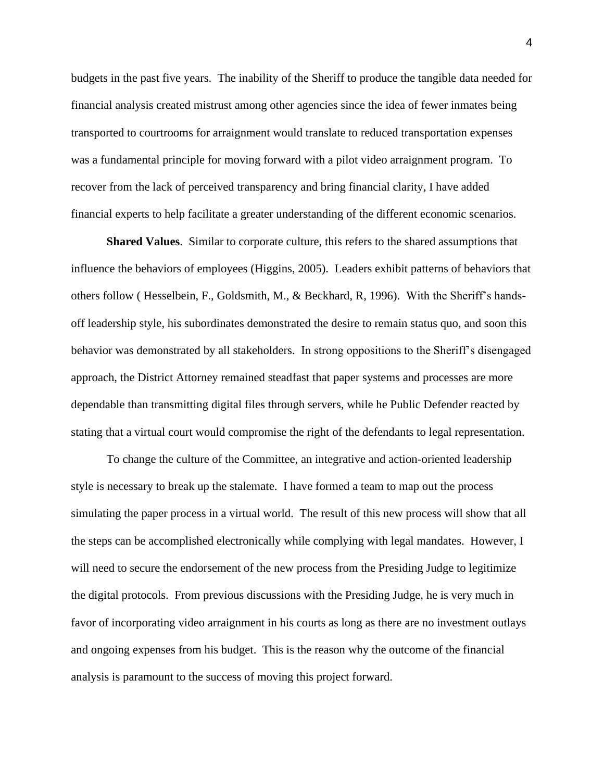budgets in the past five years. The inability of the Sheriff to produce the tangible data needed for financial analysis created mistrust among other agencies since the idea of fewer inmates being transported to courtrooms for arraignment would translate to reduced transportation expenses was a fundamental principle for moving forward with a pilot video arraignment program. To recover from the lack of perceived transparency and bring financial clarity, I have added financial experts to help facilitate a greater understanding of the different economic scenarios.

<span id="page-32-0"></span>**Shared Values**. Similar to corporate culture, this refers to the shared assumptions that influence the behaviors of employees (Higgins, 2005). Leaders exhibit patterns of behaviors that others follow ( Hesselbein, F., Goldsmith, M., & Beckhard, R, 1996). With the Sheriff's handsoff leadership style, his subordinates demonstrated the desire to remain status quo, and soon this behavior was demonstrated by all stakeholders. In strong oppositions to the Sheriff's disengaged approach, the District Attorney remained steadfast that paper systems and processes are more dependable than transmitting digital files through servers, while he Public Defender reacted by stating that a virtual court would compromise the right of the defendants to legal representation.

To change the culture of the Committee, an integrative and action-oriented leadership style is necessary to break up the stalemate. I have formed a team to map out the process simulating the paper process in a virtual world. The result of this new process will show that all the steps can be accomplished electronically while complying with legal mandates. However, I will need to secure the endorsement of the new process from the Presiding Judge to legitimize the digital protocols. From previous discussions with the Presiding Judge, he is very much in favor of incorporating video arraignment in his courts as long as there are no investment outlays and ongoing expenses from his budget. This is the reason why the outcome of the financial analysis is paramount to the success of moving this project forward.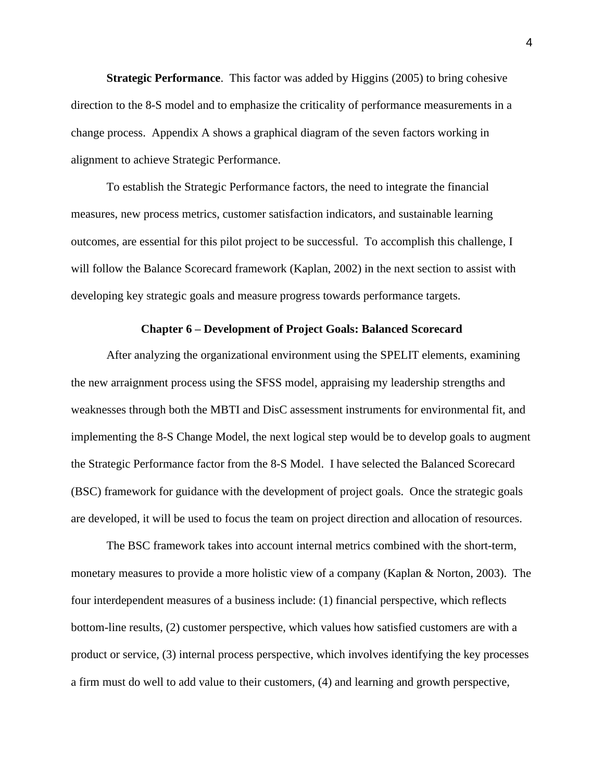<span id="page-33-0"></span>**Strategic Performance**. This factor was added by Higgins (2005) to bring cohesive direction to the 8-S model and to emphasize the criticality of performance measurements in a change process. Appendix A shows a graphical diagram of the seven factors working in alignment to achieve Strategic Performance.

To establish the Strategic Performance factors, the need to integrate the financial measures, new process metrics, customer satisfaction indicators, and sustainable learning outcomes, are essential for this pilot project to be successful. To accomplish this challenge, I will follow the Balance Scorecard framework (Kaplan, 2002) in the next section to assist with developing key strategic goals and measure progress towards performance targets.

### **Chapter 6 – Development of Project Goals: Balanced Scorecard**

<span id="page-33-1"></span>After analyzing the organizational environment using the SPELIT elements, examining the new arraignment process using the SFSS model, appraising my leadership strengths and weaknesses through both the MBTI and DisC assessment instruments for environmental fit, and implementing the 8-S Change Model, the next logical step would be to develop goals to augment the Strategic Performance factor from the 8-S Model. I have selected the Balanced Scorecard (BSC) framework for guidance with the development of project goals. Once the strategic goals are developed, it will be used to focus the team on project direction and allocation of resources.

The BSC framework takes into account internal metrics combined with the short-term, monetary measures to provide a more holistic view of a company (Kaplan & Norton, 2003). The four interdependent measures of a business include: (1) financial perspective, which reflects bottom-line results, (2) customer perspective, which values how satisfied customers are with a product or service, (3) internal process perspective, which involves identifying the key processes a firm must do well to add value to their customers, (4) and learning and growth perspective,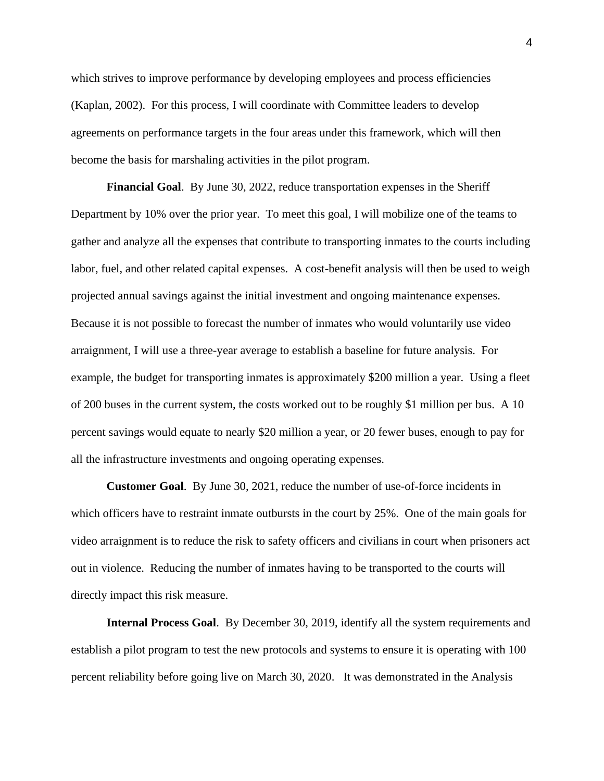which strives to improve performance by developing employees and process efficiencies (Kaplan, 2002). For this process, I will coordinate with Committee leaders to develop agreements on performance targets in the four areas under this framework, which will then become the basis for marshaling activities in the pilot program.

<span id="page-34-0"></span>**Financial Goal**. By June 30, 2022, reduce transportation expenses in the Sheriff Department by 10% over the prior year. To meet this goal, I will mobilize one of the teams to gather and analyze all the expenses that contribute to transporting inmates to the courts including labor, fuel, and other related capital expenses. A cost-benefit analysis will then be used to weigh projected annual savings against the initial investment and ongoing maintenance expenses. Because it is not possible to forecast the number of inmates who would voluntarily use video arraignment, I will use a three-year average to establish a baseline for future analysis. For example, the budget for transporting inmates is approximately \$200 million a year. Using a fleet of 200 buses in the current system, the costs worked out to be roughly \$1 million per bus. A 10 percent savings would equate to nearly \$20 million a year, or 20 fewer buses, enough to pay for all the infrastructure investments and ongoing operating expenses.

<span id="page-34-1"></span>**Customer Goal**. By June 30, 2021, reduce the number of use-of-force incidents in which officers have to restraint inmate outbursts in the court by 25%. One of the main goals for video arraignment is to reduce the risk to safety officers and civilians in court when prisoners act out in violence. Reducing the number of inmates having to be transported to the courts will directly impact this risk measure.

<span id="page-34-2"></span>**Internal Process Goal**. By December 30, 2019, identify all the system requirements and establish a pilot program to test the new protocols and systems to ensure it is operating with 100 percent reliability before going live on March 30, 2020. It was demonstrated in the Analysis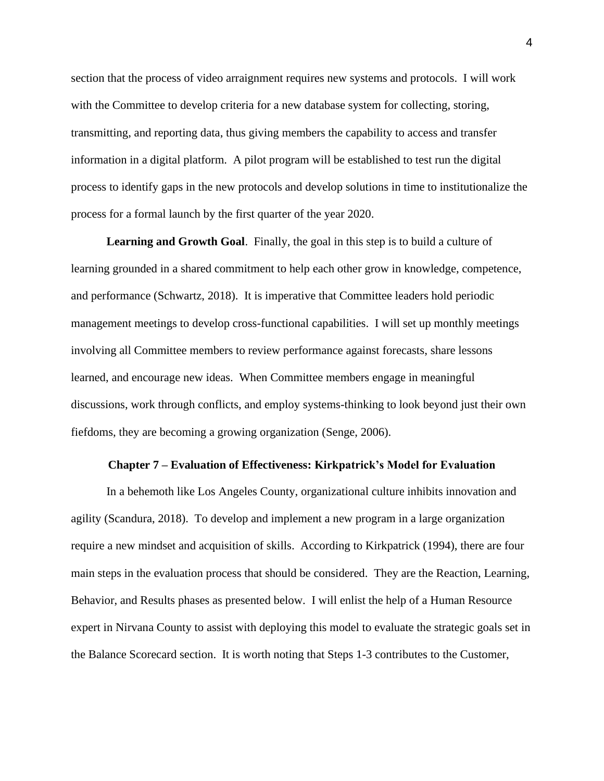section that the process of video arraignment requires new systems and protocols. I will work with the Committee to develop criteria for a new database system for collecting, storing, transmitting, and reporting data, thus giving members the capability to access and transfer information in a digital platform. A pilot program will be established to test run the digital process to identify gaps in the new protocols and develop solutions in time to institutionalize the process for a formal launch by the first quarter of the year 2020.

<span id="page-35-0"></span>**Learning and Growth Goal**. Finally, the goal in this step is to build a culture of learning grounded in a shared commitment to help each other grow in knowledge, competence, and performance (Schwartz, 2018). It is imperative that Committee leaders hold periodic management meetings to develop cross-functional capabilities. I will set up monthly meetings involving all Committee members to review performance against forecasts, share lessons learned, and encourage new ideas. When Committee members engage in meaningful discussions, work through conflicts, and employ systems-thinking to look beyond just their own fiefdoms, they are becoming a growing organization (Senge, 2006).

## **Chapter 7 – Evaluation of Effectiveness: Kirkpatrick's Model for Evaluation**

<span id="page-35-1"></span>In a behemoth like Los Angeles County, organizational culture inhibits innovation and agility (Scandura, 2018). To develop and implement a new program in a large organization require a new mindset and acquisition of skills. According to Kirkpatrick (1994), there are four main steps in the evaluation process that should be considered. They are the Reaction, Learning, Behavior, and Results phases as presented below. I will enlist the help of a Human Resource expert in Nirvana County to assist with deploying this model to evaluate the strategic goals set in the Balance Scorecard section. It is worth noting that Steps 1-3 contributes to the Customer,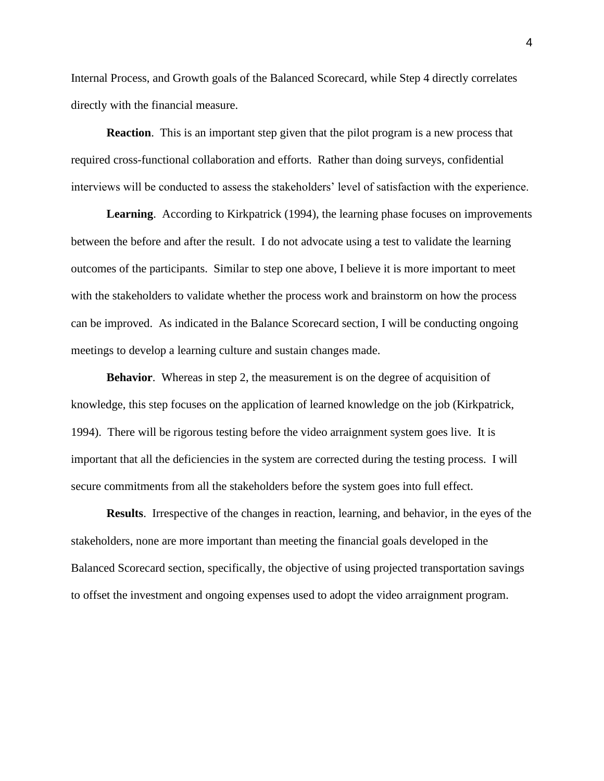Internal Process, and Growth goals of the Balanced Scorecard, while Step 4 directly correlates directly with the financial measure.

<span id="page-36-0"></span>**Reaction.** This is an important step given that the pilot program is a new process that required cross-functional collaboration and efforts. Rather than doing surveys, confidential interviews will be conducted to assess the stakeholders' level of satisfaction with the experience.

<span id="page-36-1"></span>Learning. According to Kirkpatrick (1994), the learning phase focuses on improvements between the before and after the result. I do not advocate using a test to validate the learning outcomes of the participants. Similar to step one above, I believe it is more important to meet with the stakeholders to validate whether the process work and brainstorm on how the process can be improved. As indicated in the Balance Scorecard section, I will be conducting ongoing meetings to develop a learning culture and sustain changes made.

<span id="page-36-2"></span>**Behavior.** Whereas in step 2, the measurement is on the degree of acquisition of knowledge, this step focuses on the application of learned knowledge on the job (Kirkpatrick, 1994). There will be rigorous testing before the video arraignment system goes live. It is important that all the deficiencies in the system are corrected during the testing process. I will secure commitments from all the stakeholders before the system goes into full effect.

<span id="page-36-3"></span>**Results**. Irrespective of the changes in reaction, learning, and behavior, in the eyes of the stakeholders, none are more important than meeting the financial goals developed in the Balanced Scorecard section, specifically, the objective of using projected transportation savings to offset the investment and ongoing expenses used to adopt the video arraignment program.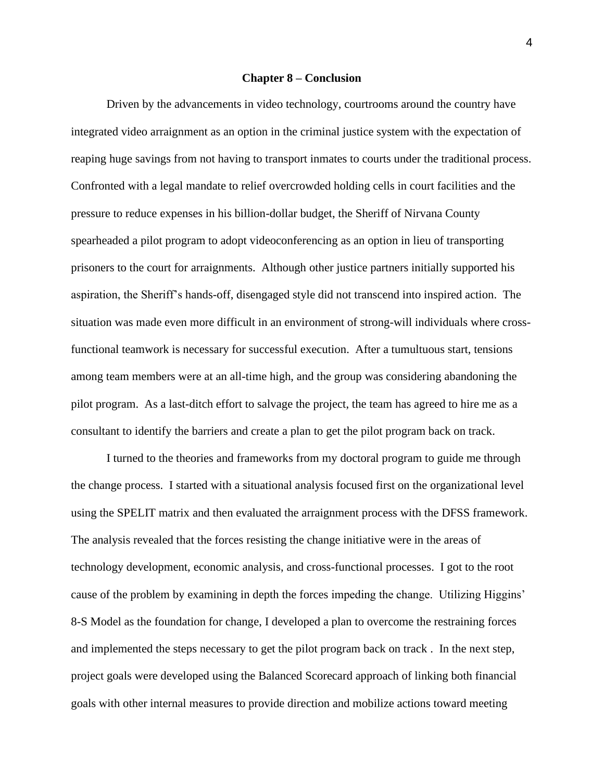## **Chapter 8 – Conclusion**

<span id="page-37-0"></span>Driven by the advancements in video technology, courtrooms around the country have integrated video arraignment as an option in the criminal justice system with the expectation of reaping huge savings from not having to transport inmates to courts under the traditional process. Confronted with a legal mandate to relief overcrowded holding cells in court facilities and the pressure to reduce expenses in his billion-dollar budget, the Sheriff of Nirvana County spearheaded a pilot program to adopt videoconferencing as an option in lieu of transporting prisoners to the court for arraignments. Although other justice partners initially supported his aspiration, the Sheriff's hands-off, disengaged style did not transcend into inspired action. The situation was made even more difficult in an environment of strong-will individuals where crossfunctional teamwork is necessary for successful execution. After a tumultuous start, tensions among team members were at an all-time high, and the group was considering abandoning the pilot program. As a last-ditch effort to salvage the project, the team has agreed to hire me as a consultant to identify the barriers and create a plan to get the pilot program back on track.

I turned to the theories and frameworks from my doctoral program to guide me through the change process. I started with a situational analysis focused first on the organizational level using the SPELIT matrix and then evaluated the arraignment process with the DFSS framework. The analysis revealed that the forces resisting the change initiative were in the areas of technology development, economic analysis, and cross-functional processes. I got to the root cause of the problem by examining in depth the forces impeding the change. Utilizing Higgins' 8-S Model as the foundation for change, I developed a plan to overcome the restraining forces and implemented the steps necessary to get the pilot program back on track . In the next step, project goals were developed using the Balanced Scorecard approach of linking both financial goals with other internal measures to provide direction and mobilize actions toward meeting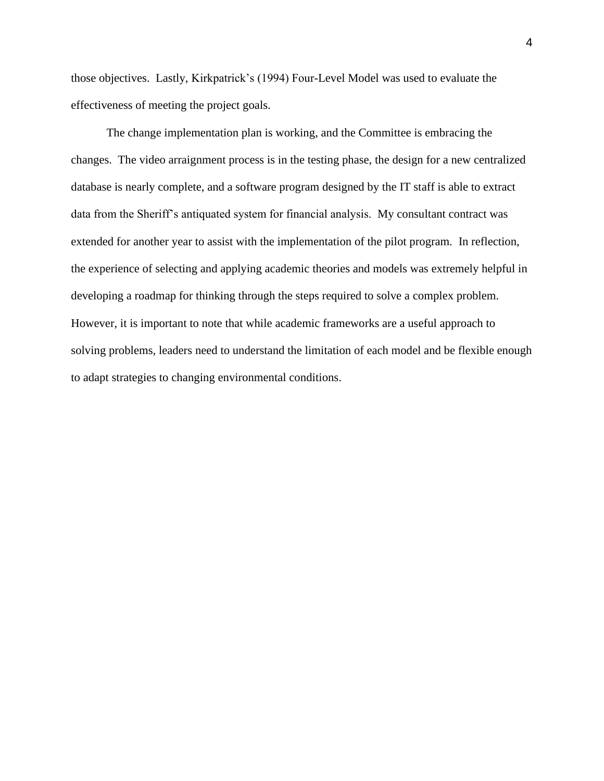those objectives. Lastly, Kirkpatrick's (1994) Four-Level Model was used to evaluate the effectiveness of meeting the project goals.

The change implementation plan is working, and the Committee is embracing the changes. The video arraignment process is in the testing phase, the design for a new centralized database is nearly complete, and a software program designed by the IT staff is able to extract data from the Sheriff's antiquated system for financial analysis. My consultant contract was extended for another year to assist with the implementation of the pilot program. In reflection, the experience of selecting and applying academic theories and models was extremely helpful in developing a roadmap for thinking through the steps required to solve a complex problem. However, it is important to note that while academic frameworks are a useful approach to solving problems, leaders need to understand the limitation of each model and be flexible enough to adapt strategies to changing environmental conditions.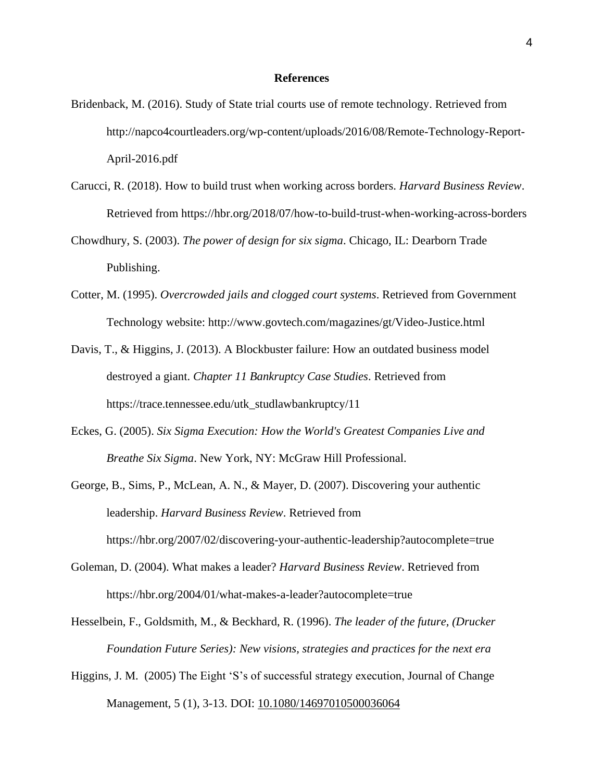## **References**

- <span id="page-39-0"></span>Bridenback, M. (2016). Study of State trial courts use of remote technology. Retrieved from [http://napco4courtleaders.org/wp-content/uploads/2016/08/Remote-Technology-Report-](about:blank)[April-2016.pdf](about:blank)
- Carucci, R. (2018). How to build trust when working across borders. *Harvard Business Review*. Retrieved from https://hbr.org/2018/07/how-to-build-trust-when-working-across-borders
- Chowdhury, S. (2003). *The power of design for six sigma*. Chicago, IL: Dearborn Trade Publishing.
- Cotter, M. (1995). *Overcrowded jails and clogged court systems*. Retrieved from Government Technology website: http://www.govtech.com/magazines/gt/Video-Justice.html
- Davis, T., & Higgins, J. (2013). A Blockbuster failure: How an outdated business model destroyed a giant. *Chapter 11 Bankruptcy Case Studies*. Retrieved from [https://trace.tennessee.edu/utk\\_studlawbankruptcy/11](about:blank)
- Eckes, G. (2005). *Six Sigma Execution: How the World's Greatest Companies Live and Breathe Six Sigma*. New York, NY: McGraw Hill Professional.
- George, B., Sims, P., McLean, A. N., & Mayer, D. (2007). Discovering your authentic leadership. *Harvard Business Review*. Retrieved from https://hbr.org/2007/02/discovering-your-authentic-leadership?autocomplete=true
- Goleman, D. (2004). What makes a leader? *Harvard Business Review*. Retrieved from [https://hbr.org/2004/01/what-makes-a-leader?autocomplete=true](about:blank)
- Hesselbein, F., Goldsmith, M., & Beckhard, R. (1996). *The leader of the future, (Drucker Foundation Future Series): New visions, strategies and practices for the next era*
- Higgins, J. M. (2005) The Eight 'S's of successful strategy execution, Journal of Change Management, 5 (1), 3-13. DOI: [10.1080/14697010500036064](about:blank)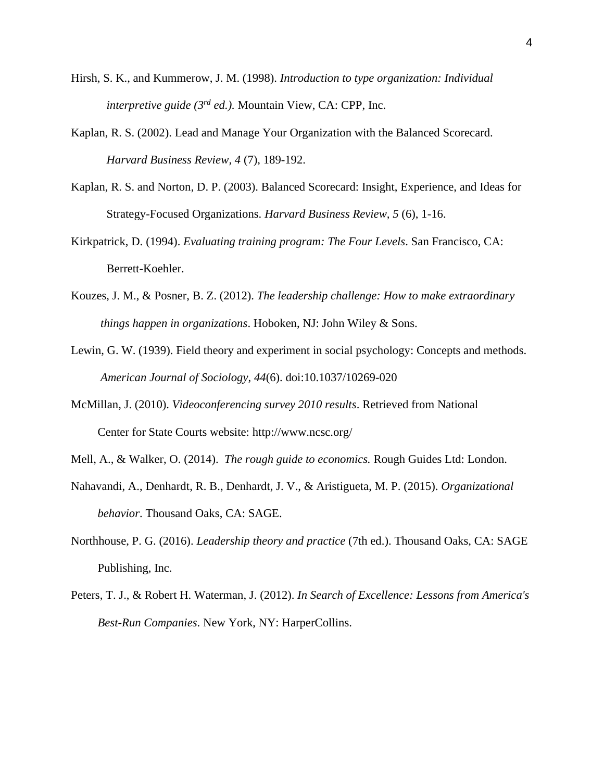- Hirsh, S. K., and Kummerow, J. M. (1998). *Introduction to type organization: Individual interpretive guide (3rd ed.).* Mountain View, CA: CPP, Inc.
- Kaplan, R. S. (2002). Lead and Manage Your Organization with the Balanced Scorecard. *Harvard Business Review, 4* (7), 189-192.
- Kaplan, R. S. and Norton, D. P. (2003). Balanced Scorecard: Insight, Experience, and Ideas for Strategy-Focused Organizations. *Harvard Business Review, 5* (6), 1-16.
- Kirkpatrick, D. (1994). *Evaluating training program: The Four Levels*. San Francisco, CA: Berrett-Koehler.
- Kouzes, J. M., & Posner, B. Z. (2012). *The leadership challenge: How to make extraordinary things happen in organizations*. Hoboken, NJ: John Wiley & Sons.
- Lewin, G. W. (1939). Field theory and experiment in social psychology: Concepts and methods. *American Journal of Sociology*, *44*(6). doi:10.1037/10269-020
- McMillan, J. (2010). *Videoconferencing survey 2010 results*. Retrieved from National Center for State Courts website: [http://www.ncsc.org/](about:blank)
- Mell, A., & Walker, O. (2014). *The rough guide to economics.* Rough Guides Ltd: London.
- Nahavandi, A., Denhardt, R. B., Denhardt, J. V., & Aristigueta, M. P. (2015). *Organizational behavior*. Thousand Oaks, CA: SAGE.
- Northhouse, P. G. (2016). *Leadership theory and practice* (7th ed.). Thousand Oaks, CA: SAGE Publishing, Inc.
- Peters, T. J., & Robert H. Waterman, J. (2012). *In Search of Excellence: Lessons from America's Best-Run Companies*. New York, NY: HarperCollins.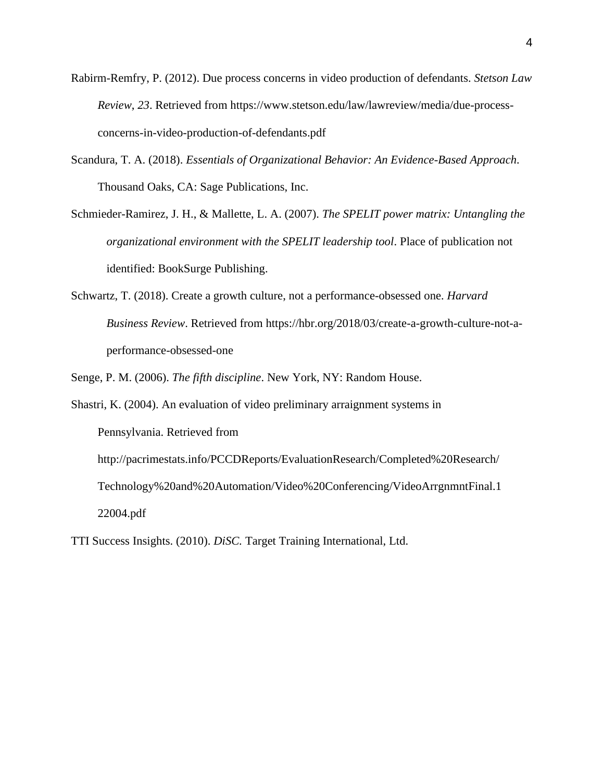- Rabirm-Remfry, P. (2012). Due process concerns in video production of defendants. *Stetson Law Review*, *23*. Retrieved from https://www.stetson.edu/law/lawreview/media/due-processconcerns-in-video-production-of-defendants.pdf
- Scandura, T. A. (2018). *Essentials of Organizational Behavior: An Evidence-Based Approach*. Thousand Oaks, CA: Sage Publications, Inc.
- Schmieder-Ramirez, J. H., & Mallette, L. A. (2007). *The SPELIT power matrix: Untangling the organizational environment with the SPELIT leadership tool*. Place of publication not identified: BookSurge Publishing.
- Schwartz, T. (2018). Create a growth culture, not a performance-obsessed one. *Harvard Business Review*. Retrieved from [https://hbr.org/2018/03/create-a-growth-culture-not-a](about:blank)[performance-obsessed-one](about:blank)
- Senge, P. M. (2006). *The fifth discipline*. New York, NY: Random House.
- Shastri, K. (2004). An evaluation of video preliminary arraignment systems in Pennsylvania. Retrieved from http://pacrimestats.info/PCCDReports/EvaluationResearch/Completed%20Research/ Technology%20and%20Automation/Video%20Conferencing/VideoArrgnmntFinal.1 22004.pdf
- TTI Success Insights. (2010). *DiSC.* Target Training International, Ltd.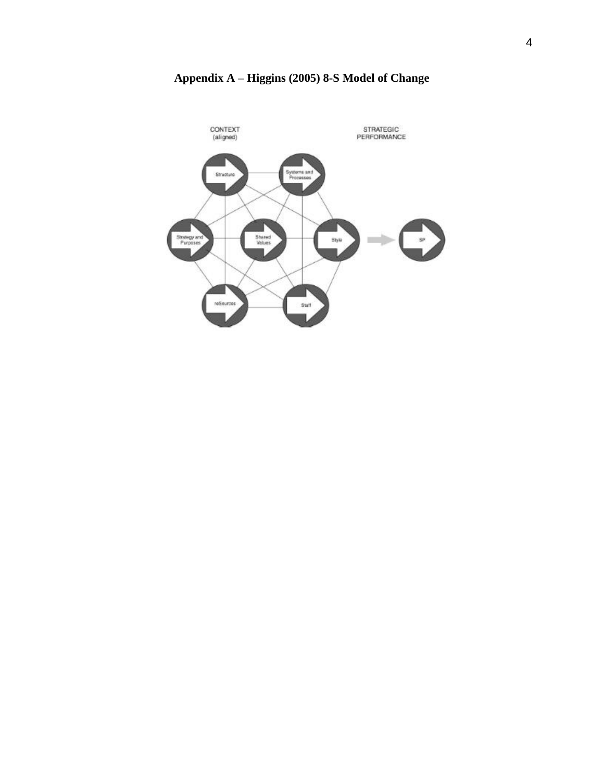<span id="page-42-0"></span>

**Appendix A – Higgins (2005) 8-S Model of Change**